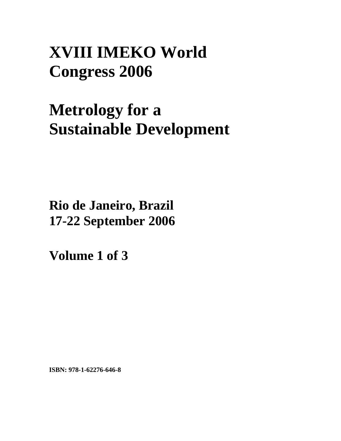## **XVIII IMEKO World Congress 2006**

# **Metrology for a Sustainable Development**

**Rio de Janeiro, Brazil 17-22 September 2006**

**Volume 1 of 3** 

**ISBN: 978-1-62276-646-8**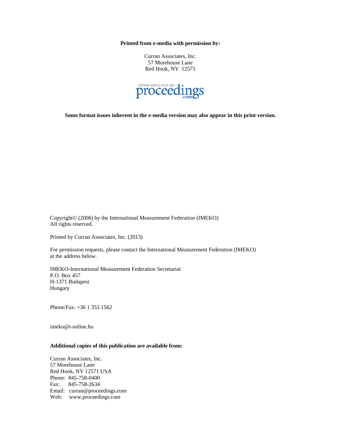**Printed from e-media with permission by:** 

Curran Associates, Inc. 57 Morehouse Lane Red Hook, NY 12571



**Some format issues inherent in the e-media version may also appear in this print version.** 

Copyright© (2006) by the International Measurement Federation (IMEKO) All rights reserved.

Printed by Curran Associates, Inc. (2013)

For permission requests, please contact the International Measurement Federation (IMEKO) at the address below.

IMEKO-International Measurement Federation Secretariat P.O. Box 457 H-1371 Budapest Hungary

Phone/Fax: +36 1 353 1562

imeko@t-online.hu

#### **Additional copies of this publication are available from:**

Curran Associates, Inc. 57 Morehouse Lane Red Hook, NY 12571 USA Phone: 845-758-0400 Fax: 845-758-2634 Email: curran@proceedings.com Web: www.proceedings.com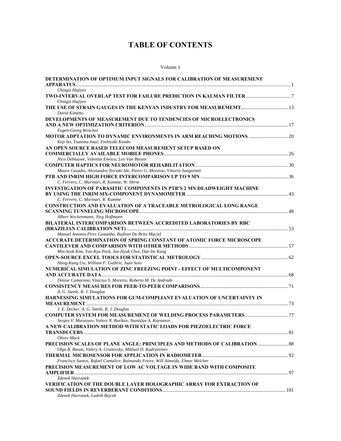### **TABLE OF CONTENTS**

#### Volume 1

| DETERMINATION OF OPTIMUM INPUT SIGNALS FOR CALIBRATION OF MEASUREMENT                                                                           |  |
|-------------------------------------------------------------------------------------------------------------------------------------------------|--|
|                                                                                                                                                 |  |
| Chingiz Hajiyev                                                                                                                                 |  |
| Chingiz Hajiyev                                                                                                                                 |  |
|                                                                                                                                                 |  |
| David Kimetto                                                                                                                                   |  |
| DEVELOPMENTS OF MEASUREMENT DUE TO TENDENCIES OF MICROELECTRONICS                                                                               |  |
|                                                                                                                                                 |  |
| Eugen-Georg Woschni                                                                                                                             |  |
|                                                                                                                                                 |  |
| Koji Ito, Tsutomu Imai, Toshiyuki Kondo                                                                                                         |  |
| AN OPEN SOURCE BASED TELECOM MEASUREMENT SETUP BASED ON                                                                                         |  |
| Nico Deblauwe, Valentin Enescu, Leo Van Biesen                                                                                                  |  |
|                                                                                                                                                 |  |
| Maura Casadio, Alessandro Noriaki Ide, Pietro G. Morasso, Vittorio Sanguineti                                                                   |  |
|                                                                                                                                                 |  |
| C. Ferrero, C. Marinari, R. Kumme, W. Herte                                                                                                     |  |
| <b>INVESTIGATION OF PARASITIC COMPONENTS IN PTB'S 2 MN DEADWEIGHT MACHINE</b>                                                                   |  |
|                                                                                                                                                 |  |
| C. Ferrero, C. Marinari, R. Kumme                                                                                                               |  |
| <b>CONSTRUCTION AND EVALUATION OF A TRACEABLE METROLOGICAL LONG RANGE</b>                                                                       |  |
|                                                                                                                                                 |  |
| Albert Weckenmann, Jörg Hoffmann                                                                                                                |  |
| BILATERAL INTERCOMPARISON BETWEEN ACCREDITED LABORATORIES BY RBC                                                                                |  |
|                                                                                                                                                 |  |
| Manuel Antonio Pires Castanho, Rudinei De Brito Maciel                                                                                          |  |
| ACCURATE DETERMINATION OF SPRING CONSTANT OF ATOMIC FORCE MICROSCOPE                                                                            |  |
|                                                                                                                                                 |  |
| Min-Seok Kim, Yon-Kyu Park, Jae-Hyuk Choi, Dae-Im Kang                                                                                          |  |
| Hung-Kung Liu, William F. Guthrie, Juan Soto                                                                                                    |  |
| NUMERICAL SIMULATION OF ZINC FREEZING POINT - EFFECT OF MULTICOMPONENT                                                                          |  |
|                                                                                                                                                 |  |
| Denise Camarano, Vinícius S. Moreira, Roberto M. De Andrade                                                                                     |  |
|                                                                                                                                                 |  |
| A. G. Steele, R. J. Douglas                                                                                                                     |  |
| HARNESSING SIMULATIONS FOR GUM-COMPLIANT EVALUATION OF UNCERTAINTY IN                                                                           |  |
|                                                                                                                                                 |  |
| J. E. Decker, A. G. Steele, R. J. Douglas                                                                                                       |  |
|                                                                                                                                                 |  |
| Sergey V. Muravyov, Valery N. Borikov, Stanislav A. Kaysanov                                                                                    |  |
| A NEW CALIBRATION METHOD WITH STATIC LOADS FOR PIEZOELECTRIC FORCE                                                                              |  |
|                                                                                                                                                 |  |
| Oliver Mack                                                                                                                                     |  |
| <b>PRECISION SCALES OF PLANE ANGLE: PRINCIPLES AND METHODS OF CALIBRATION  88</b><br>Olga B. Basun, Valery A. Granovsky, Mikhail D. Kudryavtsev |  |
|                                                                                                                                                 |  |
| Francisco Santos, Rafael Cantalice, Raimundo Freire, Will Almeida, Elmar Melcher                                                                |  |
| PRECISION MEASUREMENT OF LOW AC VOLTAGE IN WIDE BAND WITH COMPOSITE                                                                             |  |
|                                                                                                                                                 |  |
| Zdenek Havranek                                                                                                                                 |  |
| VERIFICATION OF THE DOUBLE LAYER HOLOGRAPHIC ARRAY FOR EXTRACTION OF                                                                            |  |
|                                                                                                                                                 |  |
| Zdenek Havranek, Ludvik Bejcek                                                                                                                  |  |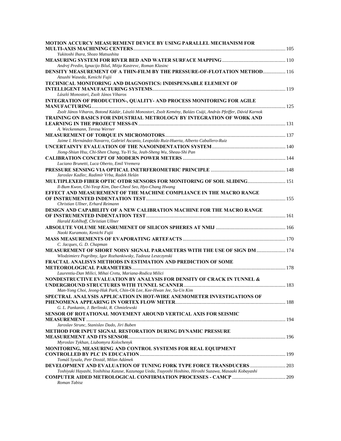| MOTION ACCURCY MEASUREMENT DEVICE BY USING PARALLEL MECHANISM FOR                                                                  |  |
|------------------------------------------------------------------------------------------------------------------------------------|--|
| Yukitoshi Ihara, Shozo Matsushita                                                                                                  |  |
|                                                                                                                                    |  |
| Andrej Predin, Ignacijo Biluš, Mitja Kastrevc, Roman Klasinc                                                                       |  |
| <b>DENSITY MEASUREMENT OF A THIN-FILM BY THE PRESSURE-OF-FLOTATION METHOD 116</b><br>Atsushi Waseda, Kenichi Fujii                 |  |
| TECHNICAL MONITORING AND DIAGNOSTICS: INDISPENSABLE ELEMENT OF                                                                     |  |
| László Monostori, Zsolt János Viharos                                                                                              |  |
| INTEGRATION OF PRODUCTION-, QUALITY- AND PROCESS MONITORING FOR AGILE                                                              |  |
|                                                                                                                                    |  |
| Zsolt János Viharos, Botond Kádár, László Monostori, Zsolt Kemény, Balázs Csáji, András Pfeiffer, Dávid Karnok                     |  |
| <b>TRAINING ON BASICS FOR INDUSTRIAL METROLOGY BY INTEGRATION OF WORK AND</b>                                                      |  |
|                                                                                                                                    |  |
| A. Weckenmann, Teresa Werner                                                                                                       |  |
| Jaime I. Hernández-Navarro, Gabriel Ascanio, Leopoldo Ruiz-Huerta, Alberto Caballero-Ruiz                                          |  |
|                                                                                                                                    |  |
| Jiong-Shiun Hsu, Chi-Shen Chang, Yu-Yi Su, Jeah-Sheng Wu, Sheau-Shi Pan                                                            |  |
|                                                                                                                                    |  |
| Luciano Brunetti, Luca Oberto, Emil Vremera                                                                                        |  |
|                                                                                                                                    |  |
| Jaroslav Kadlec, Radimír Vrba, Radek Helán                                                                                         |  |
| <b>MULTIPLEXED FIBER OPTIC OTDR SENSORS FOR MONITORING OF SOIL SLIDING 151</b>                                                     |  |
| Il-Bum Kwon, Chi-Yeop Kim, Dae-Cheol Seo, Hyo-Chang Hwang                                                                          |  |
| EFFECT AND MEASUREMENT OF THE MACHINE COMPLIANCE IN THE MACRO RANGE                                                                |  |
|                                                                                                                                    |  |
| Christian Ullner, Erhard Reimann                                                                                                   |  |
| DESIGN AND CAPABILITY OF A NEW CALIBRATION MACHINE FOR THE MACRO RANGE                                                             |  |
| Harald Kohlhoff, Christian Ullner                                                                                                  |  |
|                                                                                                                                    |  |
| Naoki Kuramoto, Kenichi Fujii                                                                                                      |  |
|                                                                                                                                    |  |
| C. Jacques, G. D. Chapman                                                                                                          |  |
| MEASUREMENT OF SHORT NOISY SIGNAL PARAMETERS WITH THE USE OF SIGN DM  174                                                          |  |
| Włodzimierz Pogribny, Igor Rozhankiwsky, Tadeusz Leszczynski                                                                       |  |
| FRACTAL ANALISYS METHODS IN ESTIMATION AND PREDICTION OF SOME                                                                      |  |
|                                                                                                                                    |  |
| Laurentiu-Dan Milici, Mihai Cretu, Mariana-Rodica Milici<br>NONDESTRUCTIVE EVALUATION BY ANALYSIS FOR DENSITY OF CRACK IN TUNNEL & |  |
|                                                                                                                                    |  |
| Man-Yong Choi, Jeong-Hak Park, Chin-Ok Lee, Kee-Hwan Jee, Su-Un Kim                                                                |  |
| SPECTRAL ANALYSIS APPLICATION IN HOT-WIRE ANEMOMETER INVESTIGATIONS OF                                                             |  |
|                                                                                                                                    |  |
| G. L. Pankanin, J. Berlinski, R. Chmielewski                                                                                       |  |
| SENSOR OF ROTATIONAL MOVEMENT AROUND VERTICAL AXIS FOR SEISMIC                                                                     |  |
|                                                                                                                                    |  |
| Jaroslav Strunc, Stanislav Dado, Jiri Buben                                                                                        |  |
| <b>METHOD FOR INPUT SIGNAL RESTORATION DURING DYNAMIC PRESSURE</b>                                                                 |  |
|                                                                                                                                    |  |
| Myroslav Tykhan, Liubomyra Kolochenyk                                                                                              |  |
| <b>MONITORING, MEASURING AND CONTROL SYSTEMS FOR REAL EQUIPMENT</b>                                                                |  |
| Tomáš Sysala, Petr Dostál, Milan Adámek                                                                                            |  |
| DEVELOPMENT AND EVALUATION OF TUNING FORK TYPE FORCE TRANSDUCERS  203                                                              |  |
| Toshiyuki Hayashi, Yoshihisa Katase, Kazunaga Ueda, Tsuyoshi Hoshino, Hiroshi Suzawa, Masaaki Kobayashi                            |  |
|                                                                                                                                    |  |
| Roman Tabisz                                                                                                                       |  |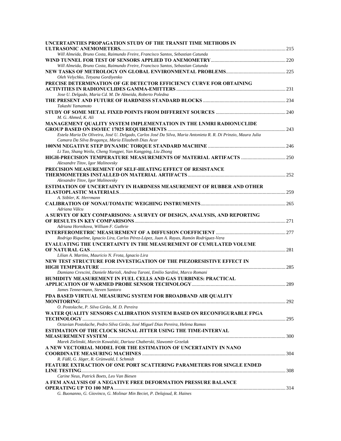| UNCERTAINTIES PROPAGATION STUDY OF THE TRANSIT TIME METHODS IN                                                 |  |
|----------------------------------------------------------------------------------------------------------------|--|
| Will Almeida, Bruno Costa, Raimundo Freire, Francisco Santos, Sebastian Catunda                                |  |
|                                                                                                                |  |
| Will Almeida, Bruno Costa, Raimundo Freire, Francisco Santos, Sebastian Catunda                                |  |
|                                                                                                                |  |
| Oleh Velychko, Tetyana Gordiyenko                                                                              |  |
| PRECISE DETERMINATION OF GE DETECTOR EFFICIENCY CURVE FOR OBTAINING                                            |  |
|                                                                                                                |  |
| Jose U. Delgado, Maria Cd. M. De Almeida, Roberto Poledna                                                      |  |
|                                                                                                                |  |
| Takashi Yamamoto                                                                                               |  |
|                                                                                                                |  |
| M. G. Ahmed, K. Ali                                                                                            |  |
| MANAGEMENT QUALITY SYSTEM IMPLEMENTATION IN THE LNMRI RADIONUCLIDE                                             |  |
|                                                                                                                |  |
| Estela Maria De Oliveira, José U. Delgado, Carlos José Da Silva, Maria Antonieta R. R. Di Prinzio, Maura Julia |  |
| Camara Da Silva Bragança, Maria Elizabeth Dias Acar                                                            |  |
|                                                                                                                |  |
| Li Tao, Shang Weilu, Cheng Yongpei, Yan Kangping, Liu Zhong                                                    |  |
|                                                                                                                |  |
| Alexandre Titov, Igor Malinovsky                                                                               |  |
| PRECISION MEASUREMENT OF SELF-HEATING EFFECT OF RESISTANCE                                                     |  |
|                                                                                                                |  |
| Alexandre Titov, Igor Malinovsky                                                                               |  |
| <b>ESTIMATION OF UNCERTAINTY IN HARDNESS MEASUREMENT OF RUBBER AND OTHER</b>                                   |  |
| A. Stibler, K. Herrmann                                                                                        |  |
|                                                                                                                |  |
| Adriana Vâlcu                                                                                                  |  |
| A SURVEY OF KEY COMPARISONS: A SURVEY OF DESIGN, ANALYSIS, AND REPORTING                                       |  |
|                                                                                                                |  |
| Adriana Hornikova, William F. Guthrie                                                                          |  |
|                                                                                                                |  |
| Rodrigo Riquelme, Ignacio Lira, Carlos Pérez-López, Juan A. Rayas, Ramón Rodríguez-Vera                        |  |
| <b>EVALUATING THE UNCERTAINTY IN THE MEASUREMENT OF CUMULATED VOLUME</b>                                       |  |
|                                                                                                                |  |
| Lilian A. Martins, Mauricio N. Frota, Ignacio Lira                                                             |  |
| NEW TEST STRUCTURE FOR INVESTIGATION OF THE PIEZORESISTIVE EFFECT IN                                           |  |
|                                                                                                                |  |
| Damiano Crescini, Daniele Marioli, Andrea Taroni, Emilio Sardini, Marco Romani                                 |  |
| <b>HUMIDITY MEASUREMENT IN FUEL CELLS AND GAS TURBINES: PRACTICAL</b>                                          |  |
|                                                                                                                |  |
| James Tennermann, Steven Santoro                                                                               |  |
| PDA BASED VIRTUAL MEASURING SYSTEM FOR BROADBAND AIR QUALITY                                                   |  |
|                                                                                                                |  |
| O. Postolache, P. Silva Girão, M. D. Pereira                                                                   |  |
| WATER QUALITY SENSORS CALIBRATION SYSTEM BASED ON RECONFIGURABLE FPGA                                          |  |
|                                                                                                                |  |
| Octavian Postolache, Pedro Silva Girão, José Miguel Dias Pereira, Helena Ramos                                 |  |
| ESTIMATION OF THE CLOCK SIGNAL JITTER USING THE TIME-INTERVAL                                                  |  |
|                                                                                                                |  |
| Marek Zielinski, Marcin Kowalski, Dariusz Chaberski, Slawomir Grzelak                                          |  |
| A NEW VECTORIAL MODEL FOR THE ESTIMATION OF UNCERTAINTY IN NANO                                                |  |
| R. Füßl, G. Jäger, R. Grünwald, I. Schmidt                                                                     |  |
| FEATURE EXTRACTION OF ONE PORT SCATTERING PARAMETERS FOR SINGLE ENDED                                          |  |
|                                                                                                                |  |
| Carine Neus, Patrick Boets, Leo Van Biesen                                                                     |  |
| A FEM ANALYSIS OF A NEGATIVE FREE DEFORMATION PRESSURE BALANCE                                                 |  |
|                                                                                                                |  |
| G. Buonanno, G. Giovinco, G. Molinar Min Beciet, P. Delajoud, R. Haines                                        |  |
|                                                                                                                |  |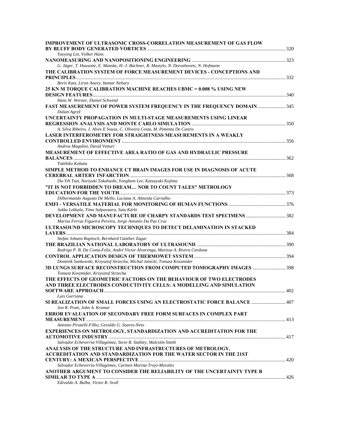| <b>IMPROVEMENT OF ULTRASONIC CROSS-CORRELATION MEASUREMENT OF GAS FLOW</b>                                                        |  |
|-----------------------------------------------------------------------------------------------------------------------------------|--|
|                                                                                                                                   |  |
| Yaoying Lin, Volker Hans                                                                                                          |  |
| G. Jäger, T. Hausotte, E. Manske, H.-J. Büchner, R. Mastylo, N. Dorozhovets, N. Hofmann                                           |  |
| THE CALIBRATION SYSTEM OF FORCE MEASUREMENT DEVICES - CONCEPTIONS AND                                                             |  |
|                                                                                                                                   |  |
| Boris Katz, Liron Anavy, Itamar Nehary                                                                                            |  |
| 25 KN M TORQUE CALIBRATION MACHINE REACHES UBMC = 0.008 % USING NEW                                                               |  |
|                                                                                                                                   |  |
| Hans W. Werner, Daniel Schwind<br>FAST MEASUREMENT OF POWER SYSTEM FREQUENCY IN THE FREQUENCY DOMAIN  345                         |  |
| Dušan Agrež                                                                                                                       |  |
| UNCERTAINTY PROPAGATION IN MULTI-STAGE MEASUREMENTS USING LINEAR                                                                  |  |
|                                                                                                                                   |  |
| A. Silva Ribeiro, J. Alves E Sousa, C. Oliveira Costa, M. Pimenta De Castro                                                       |  |
| <b>LASER INTERFEROMETRY FOR STRAIGHTNESS MEASUREMENTS IN A WEAKLY</b>                                                             |  |
|                                                                                                                                   |  |
| Andrea Magalini, David Vetturi<br><b>MEASUREMENT OF EFFECTIVE AREA RATIO OF GAS AND HYDRAULIC PRESSURE</b>                        |  |
|                                                                                                                                   |  |
| Tokihiko Kobata                                                                                                                   |  |
| SIMPLE METHOD TO ENHANCE CT BRAIN IMAGES FOR USE IN DIAGNOSIS OF ACUTE                                                            |  |
|                                                                                                                                   |  |
| Du-Yih Tsai, Noriyuki Takahashi, Yongbum Lee, Katsuyuki Kojima                                                                    |  |
| "IT IS NOT FORBIDDEN TO DREAM NOR TO COUNT TALES" METROLOGY                                                                       |  |
| Dilhermando Augusto De Mello, Luciana A. Almeida Carvalho                                                                         |  |
|                                                                                                                                   |  |
| Jukka Lekkala, Timo Salpavaara, Satu Kärki                                                                                        |  |
| DEVELOPMENT AND MANUFACTURE OF CHARPY STANDARDS TEST SPECIMENS 382                                                                |  |
| Marisa Ferraz Figueira Pereira, Jorge Antonio Da Paz Cruz                                                                         |  |
| ULTRASOUND MICROSCOPY TECHNIQUES TO DETECT DELAMINATION IN STACKED                                                                |  |
| Stefan Johann Rupitsch, Bernhard Günther Zagar                                                                                    |  |
|                                                                                                                                   |  |
| Rodrigo P. B. Da Costa-Felix, André Victor Alvarenga, Marissa A. Rivera Cardona                                                   |  |
|                                                                                                                                   |  |
| Dominik Sankowski, Krzysztof Strzecha, Michal Janicki, Tomasz Koszmider                                                           |  |
| 3D LUNGS SURFACE RECONSTRUCTION FROM COMPUTED TOMOGRAPHY IMAGES  398<br>Tomasz Koszmider, Krzysztof Strzecha                      |  |
| THE EFFECTS OF GEOMETRIC FACTORS ON THE BEHAVIOUR OF TWO ELECTRODES                                                               |  |
| AND THREE ELECTRODES CONDUCTIVITY CELLS: A MODELLING AND SIMULATION                                                               |  |
|                                                                                                                                   |  |
| Luis Gurriana                                                                                                                     |  |
| SI REALIZATION OF SMALL FORCES USING AN ELECTROSTATIC FORCE BALANCE  407                                                          |  |
| Jon R. Pratt, John A. Kramar<br><b>ERROR EVALUATION OF SECONDARY FREE FORM SURFACES IN COMPLEX PART</b>                           |  |
|                                                                                                                                   |  |
| Antonio Piratelli-Filho, Geraldo G. Soares-Neto                                                                                   |  |
| EXPERIENCES ON METROLOGY, STANDARDIZATION AND ACCREDITATION FOR THE                                                               |  |
|                                                                                                                                   |  |
| Salvador Echeverría-Villagómez, Steve R. Stahley, Malcolm Smith                                                                   |  |
| ANALYSIS OF THE STRUCTURE AND INFRASTRUCTURES OF METROLOGY,<br>ACCREDITATION AND STANDARDIZATION FOR THE WATER SECTOR IN THE 21ST |  |
|                                                                                                                                   |  |
| Salvador Echeverría-Villagómez, Carmen Marina Trejo-Morales                                                                       |  |
| ANOTHER ARGUMENT TO CONSIDER THE RELIABILITY OF THE UNCERTAINTY TYPE B                                                            |  |
|                                                                                                                                   |  |
| Edivaldo A. Bulba, Victor R. Svoll                                                                                                |  |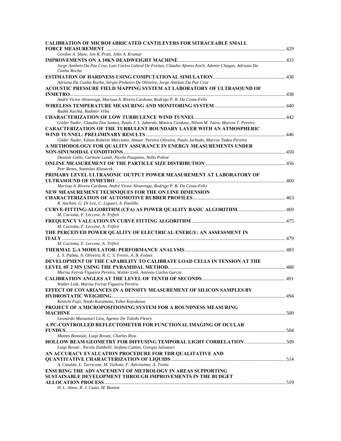| <b>CALIBRATION OF MICROFABRICATED CANTILEVERS FOR SITRACEABLE SMALL</b>                                                 |  |
|-------------------------------------------------------------------------------------------------------------------------|--|
|                                                                                                                         |  |
| Gordon A. Shaw, Jon R. Pratt, John A. Kramar                                                                            |  |
|                                                                                                                         |  |
| Jorge Antônio Da Paz Cruz, Luis Carlos Cabral De Freitas, Cláudio Afonso Koch, Ademir Chagas, Adriana Da<br>Cunha Rocha |  |
|                                                                                                                         |  |
| Adriana Da Cunha Rocha, Sérgio Pinheiro De Oliveira, Jorge Antônio Da Paz Cruz                                          |  |
| ACOUSTIC PRESSURE FIELD MAPPING SYSTEM AT LABORATORY OF ULTRASOUND OF                                                   |  |
|                                                                                                                         |  |
| André Victor Alvarenga, Marissa A. Rivera Cardona, Rodrigo P. B. Da Costa-Felix                                         |  |
| Radek Kuchta, Radimir Vrba                                                                                              |  |
|                                                                                                                         |  |
| Gilder Nader, Claudia Dos Santos, Paulo J. S. Jabardo, Monica Cardoso, Nilson M. Taira, Marcos T. Pereira               |  |
| <b>CARACTERIZATION OF THE TURBULENT BOUNDARY LAYER WITH AN ATMOSPHERIC</b>                                              |  |
|                                                                                                                         |  |
| Gilder Nader, Edson Roberto Marciotto, Amaur. Pereira Oliveira, Paulo Jarbado, Marcos Tadeu Pereira                     |  |
| A METHODOLOGY FOR QUALITY ASSURANCE IN ENERGY MEASUREMENTS UNDER                                                        |  |
|                                                                                                                         |  |
| Daniele Gallo, Carmine Landi, Nicola Pasquino, Nello Polese                                                             |  |
|                                                                                                                         |  |
| Petr Benes, Stanislav Klusacek                                                                                          |  |
| PRIMARY LEVEL ULTRASONIC OUTPUT POWER MEASUREMENT AT LABORATORY OF                                                      |  |
|                                                                                                                         |  |
| Marissa A. Rivera Cardona, André Victor Alvarenga, Rodrigo P. B. Da Costa-Felix                                         |  |
| NEW MEASUREMENT TECHNIQUES FOR THE ON LINE DIMENSION                                                                    |  |
|                                                                                                                         |  |
| R. Anchini, G. Di Leo, C. Liguori, A. Paolillo                                                                          |  |
| M. Caciotta, F. Leccese, A. Trifirò                                                                                     |  |
|                                                                                                                         |  |
| M. Caciotta, F. Leccese, A. Trifirò                                                                                     |  |
| THE PERCEIVED POWER QUALITY OF ELECTRICAL ENERGY: AN ASSESSMENT IN                                                      |  |
| M. Caciotta, F. Leccese, A. Trifirò                                                                                     |  |
|                                                                                                                         |  |
| L. S. Palma, A. Oliveira, R. C. S. Freire, A. B. Fontes                                                                 |  |
| DEVELOPMENT OF THE CAPABILITY TO CALIBRATE LOAD CELLS IN TENSION AT THE                                                 |  |
|                                                                                                                         |  |
| Marisa Ferraz Figueira Pereira, Walter Link, Antonio Carlos Garcia                                                      |  |
|                                                                                                                         |  |
| Walter Link, Marisa Ferraz Figueira Pereira                                                                             |  |
| EFFECT OF COVARIANCES IN A DENSITY MEASUREMENT OF SILICON SAMPLES BY                                                    |  |
|                                                                                                                         |  |
| Kenichi Fujii, Naoki Kuramoto, Yohei Kayukawa                                                                           |  |
| PROJECT OF A MICROPOSITIONING SYSTEM FOR A ROUNDNESS MEASURING                                                          |  |
|                                                                                                                         |  |
| Leonardo Massunari Lieu, Agenor De Toledo Fleury                                                                        |  |
| A PC-CONTROLLED REFLECTOMETER FOR FUNCTIONAL IMAGING OF OCULAR                                                          |  |
|                                                                                                                         |  |
| Matteo Bonaiuti, Luigi Rovati, Charles Riva                                                                             |  |
| HOLLOW BEAM GEOMETRY FOR DIFFUSING TEMPORAL LIGHT CORRELATION 509                                                       |  |
| Luigi Rovati, Nicola Zambelli, Stefano Cattini, Giorgia Salvatori                                                       |  |
| AN ACCURACY EVALUATION PROCEDURE FOR TDR QUALITATIVE AND                                                                |  |
| A. Cataldo, L. Tarricone, M. Vallone, F. Attivissimo, A. Trotta                                                         |  |
| <b>ENSURING THE ADVANCEMENT OF METROLOGY IN AREAS SUPPORTING</b>                                                        |  |
| <b>SUSTAINABLE DEVELOPMENT THROUGH IMPROVEMENTS IN THE BUDGET</b>                                                       |  |
|                                                                                                                         |  |
| H. L. Amos, R. J. Gunn, M. Buxton                                                                                       |  |
|                                                                                                                         |  |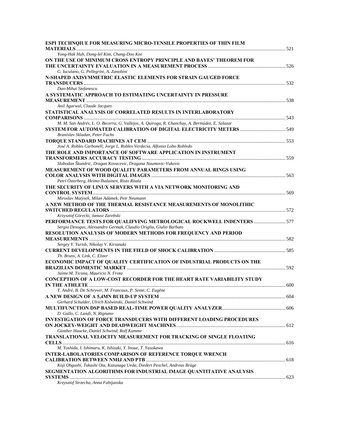| ESPI TECHNQIUE FOR MEASURING MICRO-TENSILE PROPERTIES OF THIN FILM                                                                   |  |
|--------------------------------------------------------------------------------------------------------------------------------------|--|
| Yong-Hak Huh, Dong-Iel Kim, Chang-Doo Kee                                                                                            |  |
| ON THE USE OF MINIMUM CROSS ENTROPY PRINCIPLE AND BAYES' THEOREM FOR                                                                 |  |
|                                                                                                                                      |  |
| G. Iuculano, G. Pellegrini, A. Zanobini                                                                                              |  |
| N-SHAPED AXISYMMETRIC ELASTIC ELEMENTS FOR STRAIN GAUGED FORCE                                                                       |  |
| Dan-Mihai Stefanescu                                                                                                                 |  |
| A SYSTEMATIC APPROACH TO ESTIMATING UNCERTAINTY IN PRESSURE                                                                          |  |
|                                                                                                                                      |  |
| Anil Agarwal, Claude Jacques                                                                                                         |  |
| STATISTICAL ANALYSIS OF CORRELATED RESULTS IN INTERLABORATORY                                                                        |  |
|                                                                                                                                      |  |
| M. M. San Andrés, L. O. Becerra, G. Vallejos, A. Quiroga, R. Chanchay, A. Bermúdez, E. Salazar                                       |  |
| SYSTEM FOR AUTOMATED CALIBRATION OF DIGITAL ELECTRICITY METERS ………………………………………549                                                    |  |
| Branislav Skladan, Peter Fuchs                                                                                                       |  |
|                                                                                                                                      |  |
| José A. Robles Carbonell, Jorge L. Robles Verdecia, Alfonso Lobo Robledo                                                             |  |
| THE ROLE AND IMPORTANCE OF SOFTWARE APPLICATION IN INSTRUMENT                                                                        |  |
| Slobodan Škundric, Dragan Kovacevic, Dragana Naumovic-Vukovic                                                                        |  |
| MEASUREMENT OF WOOD QUALITY PARAMETERS FROM ANNUAL RINGS USING                                                                       |  |
|                                                                                                                                      |  |
| Petri Österberg, Heimo Ihalainen, Risto Ritala                                                                                       |  |
| THE SECURITY OF LINUX SERVERS WITH A VIA NETWORK MONITORING AND                                                                      |  |
|                                                                                                                                      |  |
| Miroslav Matýsek, Milan Adámek, Petr Neumann                                                                                         |  |
| A NEW METHOD OF THE THERMAL RESISTANCE MEASUREMENTS OF MONOLITHIC                                                                    |  |
|                                                                                                                                      |  |
| Krzysztof Górecki, Janusz Zarebski                                                                                                   |  |
| PERFORMANCE TESTS FOR QUALIFYING METROLOGICAL ROCKWELL INDENTERS  577                                                                |  |
| Sergio Desogus, Alessandro Germak, Claudio Origlia, Giulio Barbato<br>RESOLUTION ANALYSIS OF MODERN METHODS FOR FREQUENCY AND PERIOD |  |
|                                                                                                                                      |  |
| Sergey Y. Yurish, Nikolay V. Kirianaki                                                                                               |  |
|                                                                                                                                      |  |
| Th. Bruns, A. Link, C. Elster                                                                                                        |  |
| ECONOMIC IMPACT OF QUALITY CERTIFICATION OF INDUSTRIAL PRODUCTS ON THE                                                               |  |
|                                                                                                                                      |  |
| Jaime M. Ticona, Mauricio N. Frota                                                                                                   |  |
| <b>CONCEPTION OF A LOW-COST RECORDER FOR THE HEART RATE VARIABILITY STUDY</b>                                                        |  |
|                                                                                                                                      |  |
| T. André, B. De Schryver, M. Francaux, P. Sente, C. Eugène                                                                           |  |
| Gerhard Schulder, Ulrich Kolwinski, Daniel Schwind                                                                                   |  |
|                                                                                                                                      |  |
| D. Gallo, C. Landi, N. Rignano                                                                                                       |  |
| INVESTIGATION OF FORCE TRANSDUCERS WITH DIFFERENT LOADING PROCEDURES                                                                 |  |
|                                                                                                                                      |  |
| Günther Haucke, Daniel Schwind, Rolf Kumme                                                                                           |  |
| TRANSLATIONAL VELOCITY MEASUREMENT FOR TRACKING OF SINGLE FLOATING                                                                   |  |
|                                                                                                                                      |  |
| M. Yoshida, I. Ishimaru, K. Ishizaki, Y. Inoue, T. Yasokawa                                                                          |  |
| INTER-LABOLATORIES COMPARISON OF REFERENCE TORQUE WRENCH                                                                             |  |
|                                                                                                                                      |  |
|                                                                                                                                      |  |
| Koji Ohgushi, Takashi Ota, Kazunaga Ueda, Diedert Peschel, Andreas Brüge                                                             |  |
| SEGMENTATION ALGORITHMS FOR INDUSTRIAL IMAGE QUANTITATIVE ANALYSIS                                                                   |  |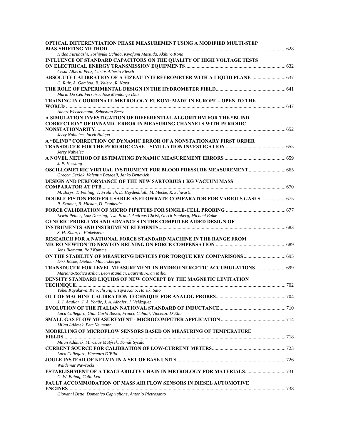| OPTICAL DIFFERENTIATION PHASE MEASUREMENT USING A MODIFIED MULTI-STEP                                                                                                 |  |
|-----------------------------------------------------------------------------------------------------------------------------------------------------------------------|--|
| Hideo Furuhashi, Yoshiyuki Uchida, Kiyofumi Matsuda, Akihiro Kono                                                                                                     |  |
| INFLUENCE OF STANDARD CAPACITORS ON THE QUALITY OF HIGH VOLTAGE TESTS                                                                                                 |  |
| Cesar Alberto Penz, Carlos Alberto Flesch<br>ABSOLUTE CALIBRATION OF A FIZEAU INTERFEROMETER WITH A LIQUID PLANE  637                                                 |  |
| G. Ruiz, A. Gamboa, B. Valera, R. Nava                                                                                                                                |  |
| Maria Do Céu Ferreira, José Mendonça Dias                                                                                                                             |  |
| TRAINING IN COORDINATE METROLOGY EUKOM: MADE IN EUROPE - OPEN TO THE                                                                                                  |  |
| Albert Weckenmann, Sebastian Beetz                                                                                                                                    |  |
| A SIMULATION INVESTIGATION OF DIFFERENTIAL ALGORITHM FOR THE "BLIND<br><b>CORRECTION" OF DYNAMIC ERROR IN MEASURING CHANNELS WITH PERIODIC</b>                        |  |
| Jerzy Nabielec, Jacek Nalepa                                                                                                                                          |  |
| A "BLIND" CORRECTION OF DYNAMIC ERROR OF A NONSTATIONARY FIRST ORDER                                                                                                  |  |
| Jerzy Nabielec<br>J. P. Hessling                                                                                                                                      |  |
| OSCILLOMETRIC VIRTUAL INSTRUMENT FOR BLOOD PRESSURE MEASUREMENT  665<br>Gregor Geršak, Valentin Batagelj, Janko Drnovšek                                              |  |
| <b>DESIGN AND PERFORMANCE OF THE NEW SARTORIUS 1 KG VACUUM MASS</b>                                                                                                   |  |
| M. Borys, T. Fehling, T. Fröhlich, D. Heydenbluth, M. Mecke, R. Schwartz<br>DOUBLE PISTON PROVER USABLE AS FLOWRATE COMPARATOR FOR VARIOUS GASES  675                 |  |
| R. Kramer, B. Mickan, D. Dopheide<br>Erwin Peiner, Lutz Doering, Uwe Brand, Andreas Christ, Gerrit Isenberg, Michael Balke                                            |  |
| <b>GENERIC PROBLEMS AND ADVANCES IN THE COMPUTER AIDED DESIGN OF</b><br>S. H. Khan, L. Finkelstein                                                                    |  |
| RESEARCH FOR A NATIONAL FORCE STANDARD MACHINE IN THE RANGE FROM                                                                                                      |  |
| Jens Illemann, Rolf Kumme<br>ON THE STABILITY OF MEASURING DEVICES FOR TORQUE KEY COMPARISONS  695                                                                    |  |
| Dirk Röske, Dietmar Mauersberger<br>TRANSDUCER FOR LEVEL MEASUREMENT IN HYDROENERGETIC ACCUMULATIONS 699<br>Mariana-Rodica Milici, Leon Mandici, Laurentiu-Dan Milici |  |
| DENSITY STANDARD LIQUIDS OF NEW CONCEPT BY THE MAGNETIC LEVITATION                                                                                                    |  |
| Yohei Kayukawa, Ken-Ichi Fujii, Yuya Kano, Haruki Sato                                                                                                                |  |
| J. J. Aguilar, J. A. Yagüe, J. A. Albajez, J. Velázquez                                                                                                               |  |
|                                                                                                                                                                       |  |
| Luca Callegaro, Gian Carlo Bosco, Franco Cabiati, Vincenzo D'Elia<br>Milan Adámek, Petr Neumann                                                                       |  |
| MODELLING OF MICROFLOW SENSORS BASED ON MEASURING OF TEMPERATURE                                                                                                      |  |
| Milan Adámek, Miroslav Matýsek, Tomáš Sysala                                                                                                                          |  |
| Luca Callegaro, Vincenzo D'Elia                                                                                                                                       |  |
| Waldemar Nawrocki                                                                                                                                                     |  |
| G. W. Bahng, Colin Lea                                                                                                                                                |  |
| <b>FAULT ACCOMMODATION OF MASS AIR FLOW SENSORS IN DIESEL AUTOMOTIVE</b>                                                                                              |  |
| Giovanni Betta, Domenico Capriglione, Antonio Pietrosanto                                                                                                             |  |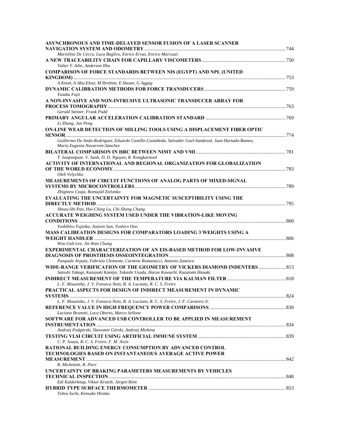| ASYNCHRONOUS AND TIME-DELAYED SENSOR FUSION OF A LASER SCANNER                                       |  |
|------------------------------------------------------------------------------------------------------|--|
|                                                                                                      |  |
| Mariolino De Cecco, Luca Baglivo, Enrico Ervas, Enrico Marcuzzi                                      |  |
| Valter Y. Aibe, Anderson Ilha                                                                        |  |
| <b>COMPARISON OF FORCE STANDARDS BETWEEN NIS (EGYPT) AND NPL (UNITED</b>                             |  |
|                                                                                                      |  |
| A Knott, A Abu-Elezz, M Ibrahim, E Hasan, G Aggag                                                    |  |
|                                                                                                      |  |
| Yusaku Fujii                                                                                         |  |
| A NON-INVASIVE AND NON-INTRUSIVE ULTRASONIC TRANSDUCER ARRAY FOR                                     |  |
|                                                                                                      |  |
| Gerald Steiner, Frank Podd                                                                           |  |
|                                                                                                      |  |
| Li Zhang, Jun Peng<br>ON-LINE WEAR DETECTION OF MILLING TOOLS USING A DISPLACEMENT FIBER OPTIC       |  |
|                                                                                                      |  |
| Guillermo De Anda-Rodríguez, Eduardo Castillo-Castañeda, Salvador Guel-Sandoval, Juan Hurtado-Ramos, |  |
| Maria Eugenia Navarrete-Sánchez                                                                      |  |
|                                                                                                      |  |
| T. Sanponpute, V. Sanh, D. D. Nguyen, R. Kongkavitool                                                |  |
| ACTIVITY OF INTERNATIONAL AND REGIONAL ORGANIZATION FOR GLOBALIZATION                                |  |
|                                                                                                      |  |
| Oleh Velychko                                                                                        |  |
| <b>MEASUREMENTS OF CIRCUIT FUNCTIONS OF ANALOG PARTS OF MIXED-SIGNAL</b>                             |  |
| Zbigniew Czaja, Romuald Zielonko                                                                     |  |
| EVALUATING THE UNCERTAINTY FOR MAGNETIC SUSCEPTIBILITY USING THE                                     |  |
|                                                                                                      |  |
| Sheau-Shi Pan, Hui-Ching Lu, Chi-Sheng Chang                                                         |  |
| ACCURATE WEIGHING SYSTEM USED UNDER THE VIBRATION-LIKE MOVING                                        |  |
|                                                                                                      |  |
| Yoshihiro Fujioka, Jianxin Sun, Toshiro Ono                                                          |  |
| MASS CALIBEATION DESIGNS FOR COMPARATORS LOADING 3 WEIGHTS USING A                                   |  |
| Woo Gab Lee, Jin Wan Chung                                                                           |  |
| <b>EXPERIMENTAL CHARACTERIZATION OF AN EIS-BASED METHOD FOR LOW-INVASIVE</b>                         |  |
|                                                                                                      |  |
| Pasquale Arpaia, Fabrizio Clemente, Carmine Romanucci, Antonio Zanesco                               |  |
| WIDE-RANGE VERIFICATION OF THE GEOMETRY OF VICKERS DIAMOND INDENTERS  813                            |  |
| Satoshi Takagi, Kazuyuki Kamijo, Takashi Usuda, Haruo Kawachi, Kazutomi Hanaki                       |  |
|                                                                                                      |  |
| L. F. Mouzinho, J. V. Fonseca Neto, B. A. Luciano, R. C. S. Freire                                   |  |
| PRACTICAL ASPECTS FOR DESIGN OF INDIRECT MEASUREMENT IN DYNAMIC                                      |  |
|                                                                                                      |  |
| L. F. Mouzinho, J. V. Fonseca Neto, B. A. Luciano, R. C. S. Freire, J. F. Carneiro Jr.               |  |
| Luciano Brunetti, Luca Oberto, Marco Sellone                                                         |  |
| SOFTWARE FOR ADVANCED USB CONTROLLER TO BE APPLIED IN MEASUREMENT                                    |  |
|                                                                                                      |  |
| Andrzej Podgórski, Slawomir Górski, Andrzej Miekina                                                  |  |
|                                                                                                      |  |
| C. P. Souza, R. C. S. Freire, F. M. Assis                                                            |  |
| RATIONAL BUILDING ENERGY CONSUMPTION BY ADVANCED CONTROL                                             |  |
| <b>TECHNOLOGIES BASED ON INSTANTANEOUS AVERAGE ACTIVE POWER</b>                                      |  |
|                                                                                                      |  |
| R. Micheletti, R. Pieri<br>UNCERTAINTY OF BRAKING PARAMETERS MEASUREMENTS BY VEHICLES                |  |
|                                                                                                      |  |
| Edi Kulderknup, Viktor Krutob, Jürgen Riim                                                           |  |
|                                                                                                      |  |
| Tohru Iuchi, Kensuke Hiraka                                                                          |  |
|                                                                                                      |  |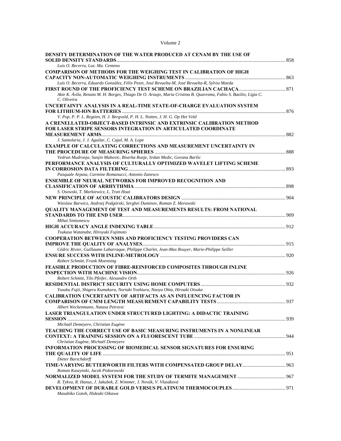| olume |  |
|-------|--|
|-------|--|

| <b>DENSITY DETERMINATION OF THE WATER PRODUCED AT CENAM BY THE USE OF</b><br>Luis O. Becerra, Luz. Ma. Centeno                                          |  |
|---------------------------------------------------------------------------------------------------------------------------------------------------------|--|
| <b>COMPARISON OF METHODS FOR THE WEIGHING TEST IN CALIBRATION OF HIGH</b>                                                                               |  |
| Luis O. Becerra, Eduardo González, Félix Pezet, José Revuelta-M, José Revuelta-R, Sylvia Maeda                                                          |  |
|                                                                                                                                                         |  |
| Akie K. Ávila, Renata M. H. Borges, Thiago De O. Araujo, Maria Cristina B. Quaresma, Fabio S. Bazilio, Lígia C.<br>C. Oliveira                          |  |
| UNCERTAINTY ANALYSIS IN A REAL-TIME STATE-OF-CHARGE EVALUATION SYSTEM                                                                                   |  |
| V. Pop, P. P. L. Regtien, H. J. Bergveld, P. H. L. Notten, J. H. G. Op Het Veld                                                                         |  |
| A CRENELLATED-OBJECT-BASED INTRINSIC AND EXTRINSIC CALIBRATION METHOD                                                                                   |  |
| <b>FOR LASER STRIPE SENSORS INTEGRATION IN ARTICULATED COORDINATE</b>                                                                                   |  |
|                                                                                                                                                         |  |
| J. Santolaria, J. J. Aguilar, C. Cajal, M. A. Lope                                                                                                      |  |
| <b>EXAMPLE OF CALCULATING CORRECTIONS AND MEASUREMENT UNCERTAINTY IN</b>                                                                                |  |
| Vedran Mudronja, Sanjin Mahovic, Biserka Runje, Srdan Medic, Gorana Baršic                                                                              |  |
| PERFORMANCE ANALYSIS OF CULTURALLY OPTIMIZED WAVELET LIFTING SCHEME                                                                                     |  |
| Pasquale Arpaia, Carmine Romanucci, Antonio Zanesco                                                                                                     |  |
| <b>ENSEMBLE OF NEURAL NETWORKS FOR IMPROVED RECOGNITION AND</b>                                                                                         |  |
|                                                                                                                                                         |  |
| S. Osowski, T. Markiewicz, L. Tran Hoai                                                                                                                 |  |
|                                                                                                                                                         |  |
| Wieslaw Barwicz, Andrzej Podgórski, Serghei Duminov, Roman Z. Morawski                                                                                  |  |
| <b>QUALITY MANAGEMENT OF TEST AND MEASUREMENTS RESULTS: FROM NATIONAL</b>                                                                               |  |
|                                                                                                                                                         |  |
| Mihai Simionescu                                                                                                                                        |  |
|                                                                                                                                                         |  |
| Tsukasa Watanabe, Hiroyuki Fujimoto                                                                                                                     |  |
| <b>COOPERATION BETWEEN NMIS AND PROFICIENCY TESTING PROVIDERS CAN</b>                                                                                   |  |
|                                                                                                                                                         |  |
| Cédric Rivier, Guillaume Labarraque, Philippe Charlet, Jean-Max Rouyer, Marie-Philippe Seiller                                                          |  |
|                                                                                                                                                         |  |
| Robert Schmitt, Frank Moenning                                                                                                                          |  |
| FEASIBLE PRODUCTION OF FIBRE-REINFORCED COMPOSITES THROUGH INLINE                                                                                       |  |
|                                                                                                                                                         |  |
| Robert Schmitt, Tilo Pfeifer, Alexandre Orth                                                                                                            |  |
|                                                                                                                                                         |  |
| Yusaku Fujii, Shigeru Kumakura, Noriaki Yoshiura, Naoya Ohta, Hiroaki Otsuka<br><b>CALIBRATION UNCERTAINTY OF ARTIFACTS AS AN INFLUENCING FACTOR IN</b> |  |
|                                                                                                                                                         |  |
| Albert Weckenmann, Natasa Petrovic                                                                                                                      |  |
| <b>LASER TRIANGULATION UNDER STRUCTURED LIGHTING: A DIDACTIC TRAINING</b>                                                                               |  |
|                                                                                                                                                         |  |
| Michaël Demeyere, Christian Eugène                                                                                                                      |  |
| <b>TEACHING THE CORRECT USE OF BASIC MEASURING INSTRUMENTS IN A NONLINEAR</b>                                                                           |  |
|                                                                                                                                                         |  |
| Christian Eugène, Michaël Demeyere                                                                                                                      |  |
| <b>INFORMATION PROCESSING OF BIOMEDICAL SENSOR SIGNATURES FOR ENSURING</b>                                                                              |  |
|                                                                                                                                                         |  |
| Dieter Barschdorff                                                                                                                                      |  |
|                                                                                                                                                         |  |
| Roman Kaszynski, Jacek Piskorowski                                                                                                                      |  |
|                                                                                                                                                         |  |
| R. Tykva, R. Hanus, J. Jakubek, Z. Wimmer, J. Novák, V. Vlasáková                                                                                       |  |
| Masahiko Gotoh, Hideaki Oikawa                                                                                                                          |  |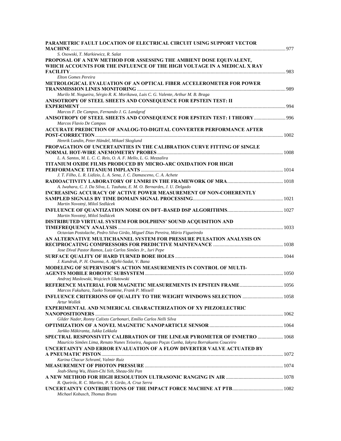| PARAMETRIC FAULT LOCATION OF ELECTRICAL CIRCUIT USING SUPPORT VECTOR                                                                                                              |  |
|-----------------------------------------------------------------------------------------------------------------------------------------------------------------------------------|--|
| S. Osowski, T. Markiewicz, R. Salat                                                                                                                                               |  |
| PROPOSAL OF A NEW METHOD FOR ASSESSING THE AMBIENT DOSE EQUIVALENT,<br>WHICH ACCOUNTS FOR THE INFLUENCE OF THE HIGH VOLTAGE IN A MEDICAL X RAY                                    |  |
| Elton Gomes Pereira                                                                                                                                                               |  |
| METROLOGICAL EVALUATION OF AN OPTICAL FIBER ACCELEROMETER FOR POWER                                                                                                               |  |
| Murilo M. Nogueira, Sérgio R. K. Morikawa, Luis C. G. Valente, Arthur M. B. Braga                                                                                                 |  |
| ANISOTROPY OF STEEL SHEETS AND CONSEQUENCE FOR EPSTEIN TEST: II                                                                                                                   |  |
| Marcos F. De Campos, Fernando J. G. Landgraf<br>ANISOTROPY OF STEEL SHEETS AND CONSEQUENCE FOR EPSTEIN TEST: I THEORY  996<br>Marcos Flavio De Campos                             |  |
| ACCURATE PREDICTION OF ANALOG-TO-DIGITAL CONVERTER PERFORMANCE AFTER                                                                                                              |  |
| Henrik Lundin, Peter Händel, Mikael Skoglund<br>PROPAGATION OF UNCERTAINTIES IN THE CALIBRATION CURVE FITTING OF SINGLE                                                           |  |
| L. A. Santos, M. L. C. C. Reis, O. A. F. Mello, L. G. Mezzalira                                                                                                                   |  |
| <b>TITANIUM OXIDE FILMS PRODUCED BY MICRO-ARC OXIDATION FOR HIGH</b>                                                                                                              |  |
| J. T. Filho, L. R. Lidízio, L. A. Sena, J. C. Damasceno, C. A. Achete                                                                                                             |  |
| A. Iwahara, C. J. Da Silva, L. Tauhata, E. M. O. Bernardes, J. U. Delgado                                                                                                         |  |
| INCREASING ACCURACY OF ACTIVE POWER MEASUREMENT OF NON-COHERENTLY<br>Martin Novotný, Miloš Sedlácek                                                                               |  |
| Martin Novotný, Miloš Sedlácek                                                                                                                                                    |  |
| <b>DISTRIBUTED VIRTUAL SYSTEM FOR DOLPHINS' SOUND ACQUISITION AND</b>                                                                                                             |  |
| Octavian Postolache, Pedro Silva Girão, Miguel Dias Pereira, Mário Figueiredo                                                                                                     |  |
| AN ALTERNATIVE MULTICHANNEL SYSTEM FOR PRESSURE PULSATION ANALYSIS ON                                                                                                             |  |
| Jose Dival Pastor Ramos, Luiz Carlos Simões Jr., Iuri Pepe                                                                                                                        |  |
| J. Kundrak, P. H. Osanna, A. Afjehi-Sadat, V. Bana                                                                                                                                |  |
| MODELING OF SUPERVISOR'S ACTION MEASUREMENTS IN CONTROL OF MULTI-<br>Andrzej Maslowski, Wojciech Ulatowski                                                                        |  |
| REFERENCE MATERIAL FOR MAGNETIC MEASUREMENTS IN EPSTEIN FRAME 1056<br>Marcos Fukuhara, Taeko Yonamine, Frank P. Missell                                                           |  |
| Artur Wollek                                                                                                                                                                      |  |
| <b>EXPERIMENTAL AND NUMERICAL CHARACTERIZATION OF XY PIEZOELECTRIC</b>                                                                                                            |  |
| Gilder Nader, Ronny Calixto Carbonari, Emílio Carlos Nelli Silva<br>Jarkko Mäkiranta, Jukka Lekkala                                                                               |  |
| <b>SPECTRAL RESPONSIVITY CALIBRATION OF THE LINEAR PYROMETER OF INMETRO  1068</b><br>Maurício Simões Lima, Renato Nunes Teixeira, Augusto Poças Cunha, Iakyra Borrakuens Couceiro |  |
| UNCERTAINTY AND ERROR EVALUATION OF A FLOW DIVERTER VALVE ACTUATED BY                                                                                                             |  |
| Karina Chacur Schraml, Valmir Ruiz                                                                                                                                                |  |
| Jeah-Sheng Wu, Hsien-Chi Yeh, Sheau-Shi Pan                                                                                                                                       |  |
| R. Queirós, R. C. Martins, P. S. Girão, A. Cruz Serra                                                                                                                             |  |
| Michael Kobusch, Thomas Bruns                                                                                                                                                     |  |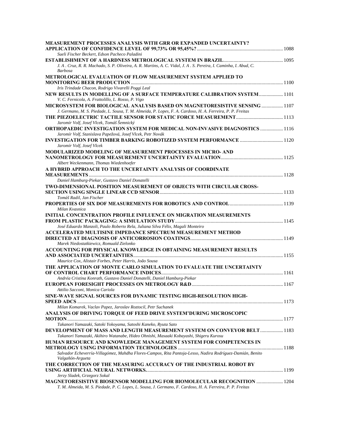| <b>MEASUREMENT PROCESSES ANALYSIS WITH GRR OR EXPANDED UNCERTAINTY?</b>                                                                              |  |
|------------------------------------------------------------------------------------------------------------------------------------------------------|--|
|                                                                                                                                                      |  |
| Sueli Fischer Beckert, Edson Pacheco Paladini                                                                                                        |  |
| J. A. Cruz, R. R. Machado, S. P. Oliveira, A. R. Martins, A. C. Vidal, J. A. S. Pereira, I. Caminha, I. Abud, C.                                     |  |
| <b>Barbosa</b>                                                                                                                                       |  |
| <b>METROLOGICAL EVALUATION OF FLOW MEASUREMENT SYSTEM APPLIED TO</b>                                                                                 |  |
|                                                                                                                                                      |  |
| Iris Trindade Chacon, Rodrigo Vivarelli Poggi Leal                                                                                                   |  |
| <b>NEW RESULTS IN MODELLING OF A SURFACE TEMPERATURE CALIBRATION SYSTEM 101</b>                                                                      |  |
| V. C. Fernicola, A. Frattolillo, L. Rosso, P. Vigo                                                                                                   |  |
| MICROSYSTEM FOR BIOLOGICAL ANALYSIS BASED ON MAGNETORESISTIVE SENSING  1107                                                                          |  |
| J. Germano, M. S. Piedade, L. Sousa, T. M. Almeida, P. Lopes, F. A. Cardoso, H. A. Ferreira, P. P. Freitas                                           |  |
|                                                                                                                                                      |  |
| Jaromír Volf, Josef Vlcek, Tomáš Šemnický                                                                                                            |  |
| <b>ORTHOPAEDIC INVESTIGATION SYSTEM FOR MEDICAL NON-INVASIVE DIAGNOSTICS  1116</b>                                                                   |  |
| Jaromír Volf, Stanislava Papežová, Josef Vlcek, Petr Novák                                                                                           |  |
| Jaromír Volf, Josef Vlcek                                                                                                                            |  |
| <b>MODULARIZED MODELING OF MEASUREMENT PROCESSES IN MICRO- AND</b>                                                                                   |  |
|                                                                                                                                                      |  |
| Albert Weckenmann, Thomas Wiedenhoefer                                                                                                               |  |
| A HYBRID APPROACH TO THE UNCERTAINTY ANALYSIS OF COORDINATE                                                                                          |  |
|                                                                                                                                                      |  |
| Daniel Hamburg-Piekar, Gustavo Daniel Donatelli                                                                                                      |  |
| TWO-DIMENSIONAL POSITION MEASUREMENT OF OBJECTS WITH CIRCULAR CROSS-                                                                                 |  |
|                                                                                                                                                      |  |
| Tomáš Radil, Jan Fischer                                                                                                                             |  |
|                                                                                                                                                      |  |
| Milan Kvasnica                                                                                                                                       |  |
| <b>INITIAL CONCENTRATION PROFILE INFLUENCE ON MIGRATION MEASUREMENTS</b>                                                                             |  |
|                                                                                                                                                      |  |
| José Eduardo Manzoli, Paulo Roberto Rela, Juliana Silva Félix, Magali Monteiro<br><b>ACCELERATED MULTISINE IMPEDANCE SPECTRUM MEASUREMENT METHOD</b> |  |
|                                                                                                                                                      |  |
| Marek Niedostatkiewicz, Romuald Zielonko                                                                                                             |  |
| ACCOUNTING FOR PHYSICAL KNOWLEDGE IN OBTAINING MEASUREMENT RESULTS                                                                                   |  |
|                                                                                                                                                      |  |
| Maurice Cox, Alistair Forbes, Peter Harris, João Sousa                                                                                               |  |
| THE APPLICATION OF MONTE CARLO SIMULATION TO EVALUATE THE UNCERTAINTY                                                                                |  |
|                                                                                                                                                      |  |
| Andréa Cristina Konrath, Gustavo Daniel Donatelli, Daniel Hamburg-Piekar                                                                             |  |
|                                                                                                                                                      |  |
| Attilio Sacconi, Monica Cariola                                                                                                                      |  |
| SINE-WAVE SIGNAL SOURCES FOR DYNAMIC TESTING HIGH-RESOLUTION HIGH-                                                                                   |  |
| Milan Komarek, Vaclav Papez, Jaroslav Roztocil, Petr Suchanek                                                                                        |  |
| ANALYSIS OF DRIVING TORQUE OF FEED DRIVE SYSTEM'DURING MICROSCOPIC                                                                                   |  |
|                                                                                                                                                      |  |
| Takanori Yamazaki, Satoki Yokoyama, Satoshi Kaneko, Ryuta Sato                                                                                       |  |
| <b>DEVELOPMENT OF MASS AND LENGTH MEASUREMENT SYSTEM ON CONVEYOR BELT  1183</b>                                                                      |  |
| Takanori Yamazaki, Akihiro Watanabe, Hideo Ohnishi, Masaaki Kobayashi, Shigeru Kurosu                                                                |  |
| HUMAN RESOURCE AND KNOWLEDGE MANAGEMENT SYSTEM FOR COMPETENCES IN                                                                                    |  |
|                                                                                                                                                      |  |
| Salvador Echeverría-Villagómez, Mahdha Flores-Campos, Rita Pantoja-Lesso, Nadira Rodríguez-Damián, Benito                                            |  |
| Valgañón-Argueta                                                                                                                                     |  |
| THE CORRECTION OF THE MEASURING ACCURACY OF THE INDUSTRIAL ROBOT BY                                                                                  |  |
|                                                                                                                                                      |  |
| Jerzy Sladek, Grzegorz Sokal<br><b>MAGNETORESISTIVE BIOSENSOR MODELLING FOR BIOMOLECULAR RECOGNITION  1204</b>                                       |  |
| T. M. Almeida, M. S. Piedade, P. C. Lopes, L. Sousa, J. Germano, F. Cardoso, H. A. Ferreira, P. P. Freitas                                           |  |
|                                                                                                                                                      |  |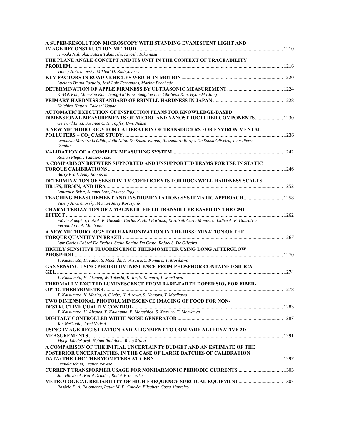| A SUPER-RESOLUTION MICROSCOPY WITH STANDING EVANESCENT LIGHT AND                                                            |      |
|-----------------------------------------------------------------------------------------------------------------------------|------|
|                                                                                                                             |      |
| Hiroaki Nishioka, Satoru Takahashi, Kiyoshi Takamasu<br>THE PLANE ANGLE CONCEPT AND ITS UNIT IN THE CONTEXT OF TRACEABILITY |      |
|                                                                                                                             |      |
| Valery A. Granovsky, Mikhail D. Kudryavtsev                                                                                 |      |
|                                                                                                                             |      |
| Luciano Bruno Faruolo, José Luiz Fernandes, Marina Brochado                                                                 |      |
|                                                                                                                             |      |
| Ki-Bok Kim, Man-Soo Kim, Jeong-Gil Park, Sangdae Lee, Ghi-Seok Kim, Hyun-Mo Jung                                            |      |
| Koichiro Hattori, Takashi Usuda                                                                                             |      |
| <b>AUTOMATIC EXECUTION OF INSPECTION PLANS FOR KNOWLEDGE-BASED</b>                                                          |      |
| <b>DIMENSIONAL MEASUREMENTS OF MICRO- AND NANOSTRUCTURED COMPONENTS  1230</b>                                               |      |
| Gerhard Linss, Susanne C. N. Töpfer, Uwe Nehse                                                                              |      |
| A NEW METHODOLOGY FOR CALIBRATION OF TRANSDUCERS FOR ENVIRON-MENTAL                                                         |      |
|                                                                                                                             |      |
| Leonardo Moreira Leódido, João Nildo De Souza Vianna, Alessandro Borges De Sousa Oliveira, Jean Pierre                      |      |
| Damion                                                                                                                      |      |
| Roman Flegar, Tanasko Tasic                                                                                                 |      |
| A COMPARISON BETWEEN SUPPORTED AND UNSUPPORTED BEAMS FOR USE IN STATIC                                                      |      |
|                                                                                                                             |      |
| Barry Pratt, Andy Robinson                                                                                                  |      |
| DETERMINATION OF SENSITIVITY COEFFICIENTS FOR ROCKWELL HARDNESS SCALES                                                      |      |
|                                                                                                                             |      |
| Laurence Brice, Samuel Low, Rodney Jiggetts                                                                                 |      |
| TEACHING MEASUREMENT AND INSTRUMENTATION: SYSTEMATIC APPROACH 1258                                                          |      |
| Valery A. Granovsky, Marian Jerzy Korczynski<br><b>CHARACTERIZATION OF A MAGNETIC FIELD TRANSDUCER BASED ON THE GMI</b>     |      |
|                                                                                                                             |      |
| Flávia Pompéia, Luiz A. P. Gusmão, Carlos R. Hall Barbosa, Elisabeth Costa Monteiro, Lídice A. P. Gonsalves,                |      |
| Fernando L. A. Machado                                                                                                      |      |
| A NEW METHODOLOGY FOR HARMONIZATION IN THE DISSEMINATION OF THE                                                             |      |
|                                                                                                                             |      |
| Luiz Carlos Cabral De Freitas, Stella Regina Da Costa, Rafael S. De Oliveira                                                |      |
| HIGHLY SENSITIVE FLUORESCENCE THERMOMETER USING LONG AFTERGLOW                                                              |      |
| T. Katsumata, H. Kubo, S. Mochida, H. Aizawa, S. Komuro, T. Morikawa                                                        |      |
| GAS SENSING USING PHOTOLUMINESCENCE FROM PHOSPHOR CONTAINED SILICA                                                          |      |
|                                                                                                                             |      |
| T. Katsumata, H. Aizawa, W. Takechi, K. Ito, S. Komuro, T. Morikawa                                                         |      |
| THERMALLY EXCITED LUMINESCENCE FROM RARE-EARTH DOPED SIO, FOR FIBER-                                                        |      |
| <b>OPTIC THERMOMETER</b>                                                                                                    | 1278 |
| T. Katsumata, K. Morita, A. Okabe, H. Aizawa, S. Komuro, T. Morikawa                                                        |      |
| TWO DIMENSIONAL PHOTOLUMINESCENCE IMAGING OF FOOD FOR NON-                                                                  |      |
| T. Katsumata, H. Aizawa, Y. Kakinuma, E. Matashige, S. Komuro, T. Morikawa                                                  |      |
|                                                                                                                             |      |
| Jan Neškudla, Josef Vedral                                                                                                  |      |
| USING IMAGE REGISTRATION AND ALIGNMENT TO COMPARE ALTERNATIVE 2D                                                            |      |
|                                                                                                                             |      |
| Marja Lähdekorpi, Heimo Ihalainen, Risto Ritala                                                                             |      |
| A COMPARISON OF THE INITIAL UNCERTAINTY BUDGET AND AN ESTIMATE OF THE                                                       |      |
| POSTERIOR UNCERTAINTIES, IN THE CASE OF LARGE BATCHES OF CALIBRATION                                                        |      |
| Daniela Ichim, Franco Pavese                                                                                                |      |
| <b>CURRENT TRANSFORMER USAGE FOR NONHARMONIC PERIODIC CURRENTS 1303</b>                                                     |      |
| Jan Hlavácek, Karel Draxler, Radek Procházka                                                                                |      |
| <b>METROLOGICAL RELIABILITY OF HIGH FREQUENCY SURGICAL EQUIPMENT 1307</b>                                                   |      |
| Rosário P. A. Palomares, Paula M. P. Gouvêa, Elisabeth Costa Monteiro                                                       |      |
|                                                                                                                             |      |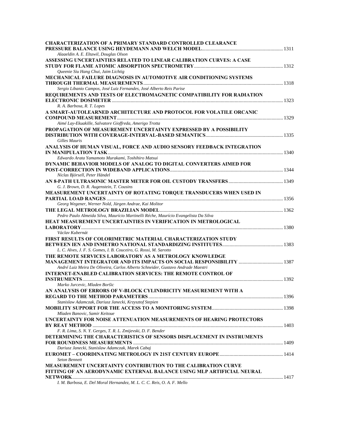| <b>CHARACTERIZATION OF A PRIMARY STANDARD CONTROLLED CLEARANCE</b>                                             |  |
|----------------------------------------------------------------------------------------------------------------|--|
|                                                                                                                |  |
| Alaaeldin A. E. Eltawil, Douglas Olson<br>ASSESSING UNCERTAINTIES RELATED TO LINEAR CALIBRATION CURVES: A CASE |  |
|                                                                                                                |  |
| Queenie Siu Hang Chui, Jaim Lichtig                                                                            |  |
| <b>MECHANICAL FAILURE DIAGNOSIS IN AUTOMOTIVE AIR CONDITIONING SYSTEMS</b>                                     |  |
|                                                                                                                |  |
| Sergio Libanio Campos, José Luiz Fernandes, José Alberto Reis Parise                                           |  |
| REQUIREMENTS AND TESTS OF ELECTROMAGNETIC COMPATIBILITY FOR RADIATION                                          |  |
| R. A. Barbosa, R. T. Lopes                                                                                     |  |
| A SMART-AUTOLEARNED ARCHITECTURE AND PROTOCOL FOR VOLATILE ORCANIC                                             |  |
|                                                                                                                |  |
| Aimé Lay-Ekuakille, Salvatore Gioffreda, Amerigo Trotta                                                        |  |
| PROPAGATION OF MEASUREMENT UNCERTAINTY EXPRESSED BY A POSSIBILITY                                              |  |
| Gilles Mauris                                                                                                  |  |
| ANALYSIS OF HUMAN VISUAL, FORCE AND AUDIO SENSORY FEEDBACK INTEGRATION                                         |  |
|                                                                                                                |  |
| Edwardo Arata Yamamoto Murakami, Toshihiro Matsui                                                              |  |
| DYNAMIC BEHAVIOR MODELS OF ANALOG TO DIGITAL CONVERTERS AIMED FOR                                              |  |
|                                                                                                                |  |
| Niclas Björsell, Peter Händel                                                                                  |  |
| G. J. Brown, D. R. Augenstein, T. Cousins                                                                      |  |
| MEASUREMENT UNCERTAINTY OF ROTATING TORQUE TRANSDUCERS WHEN USED IN                                            |  |
|                                                                                                                |  |
| Georg Wegener, Werner Nold, Jürgen Andrae, Kai Molitor                                                         |  |
|                                                                                                                |  |
| Pedro Paulo Almeida Silva, Maurício Martinelli Réche, Maurício Evangelista Da Silva                            |  |
| HEAT MEASUREMENT UNCERTAINTIES IN VERIFICATION IN METROLOGICAL                                                 |  |
| Václav Kubernát                                                                                                |  |
| <b>FIRST RESULTS OF COLORIMETRIC MATERIAL CHARACTERIZATION STUDY</b>                                           |  |
|                                                                                                                |  |
| L. C. Alves, J. F. S. Gomes, I. B. Couceiro, G. Rossi, M. Sarotto                                              |  |
| THE REMOTE SERVICES LABORATORY AS A METROLOGY KNOWLEDGE                                                        |  |
| André Luiz Meira De Oliveira, Carlos Alberto Schneider, Gustavo Andrade Maestri                                |  |
| <b>INTERNET-ENABLED CALIBRATION SERVICES: THE REMOTE CONTROL OF</b>                                            |  |
|                                                                                                                |  |
| Marko Jurcevic, Mladen Boršic                                                                                  |  |
| AN ANALYSIS OF ERRORS OF V-BLOCK CYLINDRICITY MEASUREMENT WITH A                                               |  |
|                                                                                                                |  |
| Stanislaw Adamczak, Dariusz Janecki, Krzysztof Stepien                                                         |  |
| Mladen Banovic, Samir Keitoue                                                                                  |  |
| UNCERTAINTY FOR NOISE ATTENUATION MEASUREMENTS OF HEARING PROTECTORS                                           |  |
|                                                                                                                |  |
| F. R. Lima, S. N. Y. Gerges, T. R. L. Zmijevski, D. F. Bender                                                  |  |
| DETERMINING THE CHARACTERISTICS OF SENSORS DISPLACEMENT IN INSTRUMENTS                                         |  |
|                                                                                                                |  |
| Dariusz Janecki, Stanislaw Adamczak, Marek Cabaj                                                               |  |
| <b>Seton Bennett</b>                                                                                           |  |
| MEASUREMENT UNCERTAINTY CONTRIBUTION TO THE CALIBRATION CURVE                                                  |  |
| FITTING OF AN AERODYNAMIC EXTERNAL BALANCE USING MLP ARTIFICIAL NEURAL                                         |  |
|                                                                                                                |  |
| I. M. Barbosa, E. Del Moral Hernandez, M. L. C. C. Reis, O. A. F. Mello                                        |  |
|                                                                                                                |  |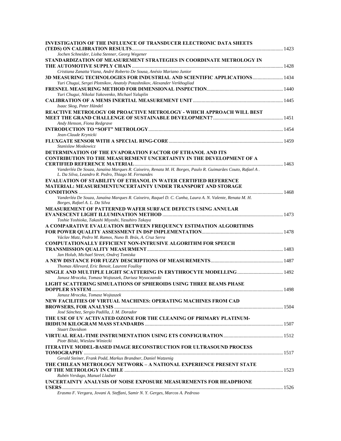| <b>INVESTIGATION OF THE INFLUENCE OF TRANSDUCER ELECTRONIC DATA SHEETS</b>                                                                                      |      |
|-----------------------------------------------------------------------------------------------------------------------------------------------------------------|------|
|                                                                                                                                                                 |      |
| Jochen Schneider, Lioba Stenner, Georg Wegener                                                                                                                  |      |
| STANDARDIZATION OF MEASUREMENT STRATEGIES IN COORDINATE METROLOGY IN                                                                                            |      |
| Cristiana Zanatta Viana, André Roberto De Sousa, Anésio Mariano Junior                                                                                          |      |
| 3D MEASURING TECHNOLOGIES FOR INDUSTRIAL AND SCIENTIFIC APPLICATIONS 1434                                                                                       |      |
| Yuri Chugui, Sergei Plotnikov, Anatoly Potashnikov, Alexander Verkhogliad                                                                                       |      |
| Yuri Chugui, Nikolai Yakovenko, Michael Yaluplin                                                                                                                |      |
|                                                                                                                                                                 |      |
| Isaac Skog, Peter Händel                                                                                                                                        |      |
| REACTIVE METROLOGY OR PROACTIVE METROLOGY - WHICH APPROACH WILL BEST                                                                                            |      |
| Andy Henson, Fiona Redgrave                                                                                                                                     |      |
|                                                                                                                                                                 |      |
| Jean-Claude Krynicki                                                                                                                                            |      |
| Stanislaw Moskowicz                                                                                                                                             |      |
| DETERMINATION OF THE EVAPORATION FACTOR OF ETHANOL AND ITS                                                                                                      |      |
| <b>CONTRIBUTION TO THE MEASUREMENT UNCERTAINTY IN THE DEVELOPMENT OF A</b>                                                                                      |      |
|                                                                                                                                                                 |      |
| Vanderléa De Souza, Janaína Marques R. Caixeiro, Renata M. H. Borges, Paulo R. Guimarães Couto, Rafael A.<br>L. Da Silva, Leandro R. Pedro, Thiago M. Fernandes |      |
| <b>EVALUATION OF STABILITY OF ETHANOL IN WATER CERTIFIED REFERENCE</b>                                                                                          |      |
| <b>MATERIAL: MEASUREMENTUNCERTAINTY UNDER TRANSPORT AND STORAGE</b>                                                                                             |      |
|                                                                                                                                                                 |      |
| Vanderléa De Souza, Janaína Marques R. Caixeiro, Raquel D. C. Cunha, Laura A. N. Valente, Renata M. H.<br>Borges, Rafael A. L. Da Silva                         |      |
| <b>MEASUREMENT OF PATTERNED WAFER SURFACE DEFECTS USING ANNULAR</b>                                                                                             |      |
|                                                                                                                                                                 |      |
| Toshie Yoshioka, Takashi Miyoshi, Yasuhiro Takaya                                                                                                               |      |
| A COMPARATIVE EVALUATION BETWEEN FREQUENCY ESTIMATION ALGORITHMS                                                                                                |      |
|                                                                                                                                                                 |      |
| Václav Matz, Pedro M. Ramos, Nuno B. Brás, A. Cruz Serra                                                                                                        |      |
| <b>COMPUTATIONALLY EFFICIENT NON-INTRUSIVE ALGORITHM FOR SPEECH</b>                                                                                             |      |
|                                                                                                                                                                 |      |
| Jan Holub, Michael Street, Ondrej Tomiska                                                                                                                       |      |
|                                                                                                                                                                 |      |
| Thomas Allevard, Eric Benoit, Laurent Foulloy                                                                                                                   |      |
|                                                                                                                                                                 |      |
| Janusz Mroczka, Tomasz Wojtaszek, Dariusz Wysoczanski                                                                                                           |      |
| LIGHT SCATTERING SIMULATIONS OF SPHEROIDS USING THREE BEAMS PHASE<br>DOPPLER SYSTEM                                                                             | 1498 |
| Janusz Mroczka, Tomasz Wojtaszek                                                                                                                                |      |
| NEW FACILITIES OF VIRTUAL MACHINES: OPERATING MACHINES FROM CAD                                                                                                 |      |
|                                                                                                                                                                 |      |
| José Sánchez, Sergio Padilla, J. M. Dorador                                                                                                                     |      |
| THE USE OF UV ACTIVATED OZONE FOR THE CLEANING OF PRIMARY PLATINUM-                                                                                             |      |
|                                                                                                                                                                 |      |
| <b>Stuart Davidson</b>                                                                                                                                          |      |
|                                                                                                                                                                 |      |
| Piotr Bilski, Wieslaw Winiecki                                                                                                                                  |      |
| <b>ITERATIVE MODEL-BASED IMAGE RECONSTRUCTION FOR ULTRASOUND PROCESS</b>                                                                                        |      |
|                                                                                                                                                                 |      |
| Gerald Steiner, Frank Podd, Markus Brandner, Daniel Watzenig                                                                                                    |      |
| THE CHILEAN METROLOGY NETWORK - A NATIONAL EXPERIENCE PRESENT STATE                                                                                             |      |
|                                                                                                                                                                 |      |
| Rubén Verdugo, Manuel Lladser                                                                                                                                   |      |
| UNCERTAINTY ANALYSIS OF NOISE EXPOSURE MEASUREMENTS FOR HEADPHONE                                                                                               |      |
| Erasmo F. Vergara, Jovani A. Steffani, Samir N. Y. Gerges, Marcos A. Pedroso                                                                                    |      |
|                                                                                                                                                                 |      |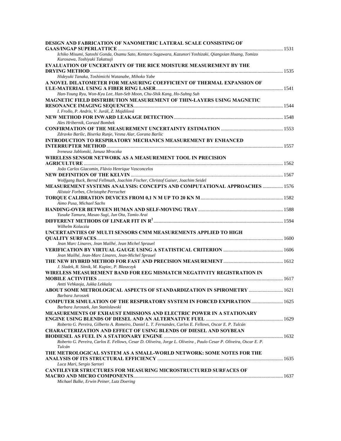| DESIGN AND FABRICATION OF NANOMETRIC LATERAL SCALE CONSISTING OF                                                                         |      |
|------------------------------------------------------------------------------------------------------------------------------------------|------|
|                                                                                                                                          |      |
| Ichiko Misumi, Satoshi Gonda, Osamu Sato, Kentaro Sugawara, Kazunori Yoshizaki, Qiangxian Huang, Tomizo<br>Kurosawa, Toshiyuki Takatsuji |      |
| <b>EVALUATION OF UNCERTAINTY OF THE RICE MOISTURE MEASUREMENT BY THE</b>                                                                 |      |
| Hideyuki Tanaka, Toshimichi Watanabe, Mihoko Yabe                                                                                        |      |
| A NOVEL DILATOMETER FOR MEASURING COEFFICIENT OF THERMAL EXPANSION OF                                                                    |      |
|                                                                                                                                          |      |
| Han-Young Ryu, Won-Kyu Lee, Han-Seb Moon, Chu-Shik Kang, Ho-Suhng Suh                                                                    |      |
| <b>MAGNETIC FIELD DISTRIBUTION MEASUREMENT OF THIN-LAYERS USING MAGNETIC</b>                                                             |      |
| I. Frollo, P. Andris, V. Juráš, Z. Majdišová                                                                                             |      |
|                                                                                                                                          |      |
| Ales Hribernik, Gorazd Bombek                                                                                                            |      |
|                                                                                                                                          |      |
| Zdravko Baršic, Biserka Runje, Vesna Alar, Gorana Baršic                                                                                 |      |
| <b>INTRODUCTION TO RESPIRATORY MECHANICS MEASUREMENT BY ENHANCED</b>                                                                     |      |
|                                                                                                                                          |      |
| Ireneusz Jablonski, Janusz Mroczka                                                                                                       |      |
| WIRELESS SENSOR NETWORK AS A MEASUREMENT TOOL IN PRECISION                                                                               |      |
|                                                                                                                                          |      |
| João Carlos Giacomin, Flávio Henrique Vasconcelos                                                                                        |      |
|                                                                                                                                          |      |
| Wolfgang Buck, Bernd Fellmuth, Joachim Fischer, Christof Gaiser, Joachim Seidel                                                          |      |
| <b>MEASUREMENT SYSTEMS ANALYSIS: CONCEPTS AND COMPUTATIONAL APPROACHES  1576</b>                                                         |      |
| Alistair Forbes, Christophe Perruchet                                                                                                    |      |
|                                                                                                                                          |      |
| Aimo Pusa, Michael Sachs                                                                                                                 |      |
|                                                                                                                                          |      |
| Yusuke Tamura, Masao Sugi, Jun Ota, Tamio Arai                                                                                           |      |
| Wilhelm Kolaczia                                                                                                                         |      |
| UNCERTAINTIES OF MULTI SENSORS CMM MEASUREMENTS APPLIED TO HIGH                                                                          |      |
|                                                                                                                                          |      |
| Jean Marc Linares, Jean Mailhé, Jean Michel Sprauel                                                                                      |      |
|                                                                                                                                          |      |
| Jean Mailhé, Jean-Marc Linares, Jean-Michel Sprauel                                                                                      |      |
|                                                                                                                                          |      |
| J. Sladek, R. Sitnik, M. Kupiec, P. Blaszczyk                                                                                            |      |
| WIRELESS MEASUREMENT BAND FOR EEG MISMATCH NEGATIVITY REGISTRATION IN                                                                    |      |
|                                                                                                                                          |      |
| Antti Vehkaoja, Jukka Lekkala                                                                                                            |      |
| ABOUT SOME METROLOGICAL ASPECTS OF STANDARDIZATION IN SPIROMETRY                                                                         | 1621 |
| Barbara Juroszek                                                                                                                         |      |
| COMPUTER SIMULATION OF THE RESPIRATORY SYSTEM IN FORCED EXPIRATION  1625                                                                 |      |
| Barbara Juroszek, Jan Stanislawski                                                                                                       |      |
| <b>MEASUREMENTS OF EXHAUST EMISSIONS AND ELECTRIC POWER IN A STATIONARY</b>                                                              |      |
|                                                                                                                                          |      |
| Roberto G. Pereira, Gilberto A. Romeiro, Daniel L. T. Fernandes, Carlos E. Fellows, Oscar E. P. Tulcán                                   |      |
| <b>CHARACTERIZATION AND EFFECT OF USING BLENDS OF DIESEL AND SOYBEAN</b>                                                                 |      |
|                                                                                                                                          |      |
| Roberto G. Pereira, Carlos E. Fellows, Cesar D. Oliveira, Jorge L. Oliveira, Paulo Cesar P. Oliveira, Oscar E. P.                        |      |
| Tulcán                                                                                                                                   |      |
| THE METROLOGICAL SYSTEM AS A SMALL-WORLD NETWORK: SOME NOTES FOR THE                                                                     |      |
|                                                                                                                                          |      |
| Luca Mari, Sergio Sartori                                                                                                                |      |
| <b>CANTILEVER STRUCTURES FOR MEASURING MICROSTRUCTURED SURFACES OF</b>                                                                   |      |
|                                                                                                                                          |      |
| Michael Balke, Erwin Peiner, Lutz Doering                                                                                                |      |
|                                                                                                                                          |      |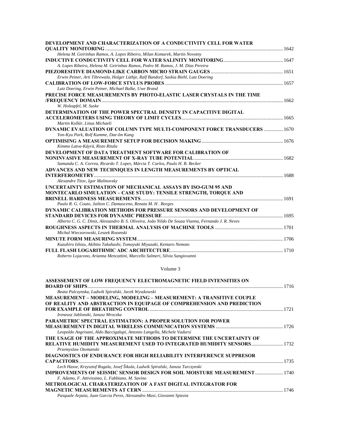| DEVELOPMENT AND CHARACTERIZATION OF A CONDUCTIVITY CELL FOR WATER                                   |  |
|-----------------------------------------------------------------------------------------------------|--|
|                                                                                                     |  |
| Helena M. Geirinhas Ramos, A. Lopes Ribeiro, Milan Komarek, Martin Novotny                          |  |
|                                                                                                     |  |
| A. Lopes Ribeiro, Helena M. Geirinhas Ramos, Pedro M. Ramos, J. M. Dias Pereira                     |  |
|                                                                                                     |  |
| Erwin Peiner, Arti Tibrewala, Holger Lüthje, Ralf Bandorf, Saskia Biehl, Lutz Doering               |  |
|                                                                                                     |  |
| Lutz Doering, Erwin Peiner, Michael Balke, Uwe Brand                                                |  |
| PRECISE FORCE MEASUREMENTS BY PHOTO-ELASTIC LASER CRYSTALS IN THE TIME                              |  |
|                                                                                                     |  |
| W. Holzapfel, M. Suske                                                                              |  |
| DETERMINATION OF THE POWER SPECTRAL DENSITY IN CAPACITIVE DIGITAL                                   |  |
|                                                                                                     |  |
| Martin Kollár, Linus Michaeli                                                                       |  |
| DYNAMIC EVALUATION OF COLUMN TYPE MULTI-COMPONENT FORCE TRANSDUCERS  1670                           |  |
| Yon-Kyu Park, Rolf Kumme, Dae-Im Kang                                                               |  |
|                                                                                                     |  |
| Kimmo Latva-Käyrä, Risto Ritala                                                                     |  |
| DEVELOPMENT OF DATA TREATMENT SOFTWARE FOR CALIBRATION OF                                           |  |
|                                                                                                     |  |
| Samanda C. A. Correa, Ricardo T. Lopes, Márcia T. Carlos, Paulo H. B. Becker                        |  |
| ADVANCES AND NEW TECHNIQUES IN LENGTH MEASUREMENTS BY OPTICAL                                       |  |
|                                                                                                     |  |
| Alexandre Titov, Igor Malinovsky                                                                    |  |
| UNCERTAINTY ESTIMATION OF MECHANICAL ASSAYS BY ISO-GUM 95 AND                                       |  |
| <b>MONTECARLO SIMULATION - CASE STUDY: TENSILE STRENGTH, TORQUE AND</b>                             |  |
|                                                                                                     |  |
| Paulo R. G. Couto, Jailton C. Damasceno, Renata M. H. Borges                                        |  |
| DYNAMIC CALIBRATION METHODS FOR PRESSURE SENSORS AND DEVELOPMENT OF                                 |  |
|                                                                                                     |  |
| Alberto C. G. C. Diniz, Alessandro B. S. Oliveira, João Nildo De Souza Vianna, Fernando J. R. Neves |  |
|                                                                                                     |  |
| Michal Wieczorowski, Leszek Rozanski                                                                |  |
|                                                                                                     |  |
| Kazuhiro Ishizu, Akihito Takahashi, Tomoyuki Miyazaki, Kentaro Nemoto                               |  |
|                                                                                                     |  |
| Roberto Lojacono, Arianna Mencattini, Marcello Salmeri, Silvia Sangiovanni                          |  |

Volume 3

| ASSESSEMENT OF LOW FREQUENCY ELECTROMAGNETIC FIELD INTENSITIES ON                |  |
|----------------------------------------------------------------------------------|--|
| <b>BOARD OF SHIPS.</b>                                                           |  |
| Beata Palczynska, Ludwik Spiralski, Jacek Wyszkowski                             |  |
| <b>MEASUREMENT – MODELING, MODELING – MEASUREMENT: A TRANSITIVE COUPLE</b>       |  |
| OF REALITY AND ABSTRACTION IN EQUIPAGE OF COMPREHENSION AND PREDICTION           |  |
|                                                                                  |  |
| Ireneusz Jablonski, Janusz Mroczka                                               |  |
| <b>PARAMETRIC SPECTRAL ESTIMATION: A PROPER SOLUTION FOR POWER</b>               |  |
|                                                                                  |  |
| Leopoldo Angrisani, Aldo Baccigalupi, Antonio Langella, Michele Vadursi          |  |
| THE USAGE OF THE APPROXIMATE METHODS TO DETERMINE THE UNCERTAINTY OF             |  |
|                                                                                  |  |
| Przemyslaw Otomanski                                                             |  |
| DIAGNOSTICS OF ENDURANCE FOR HIGH RELIABILITY INTERFERENCE SUPPRESOR             |  |
| <b>CAPACITORS</b>                                                                |  |
| Lech Hasse, Krzysztof Rogala, Josef Šikula, Ludwik Spiralski, Janusz Turczynski  |  |
| <b>IMPROVEMENTS OF SEISMIC SENSOR DESIGN FOR SOIL MOISTURE MEASUREMENT  1740</b> |  |
| F. Adamo, F. Attivissimo, L. Fabbiano, M. Savino                                 |  |
| METROLOGICAL CHARATERIZATION OF A FAST DIGITAL INTEGRATOR FOR                    |  |
|                                                                                  |  |
| Pasquale Arpaia, Juan Garcia Perez, Alessandro Masi, Giovanni Spiezia            |  |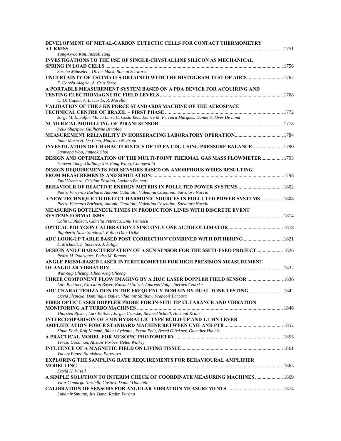| DEVELOPMENT OF METAL-CARBON EUTECTIC CELLS FOR CONTACT THERMOMETRY                                                                                                     |  |
|------------------------------------------------------------------------------------------------------------------------------------------------------------------------|--|
| Yong-Gyoo Kim, Inseok Yang                                                                                                                                             |  |
| INVESTIGATIONS TO THE USE OF SINGLE-CRYSTALLINE SILICON AS MECHANICAL                                                                                                  |  |
| Sascha Mäuselein, Oliver Mack, Roman Schwartz                                                                                                                          |  |
| UNCERTAINTY OF ESTIMATES OBTAINED WITH THE HISTOGRAM TEST OF ADCS  1762<br>F. Corrêa Alegria, A. Cruz Serra                                                            |  |
| A PORTABLE MEASUREMENT SYSTEM BASED ON A PDA DEVICE FOR ACQUIRING AND<br>C. De Capua, A. Liccardo, R. Morello                                                          |  |
| VALIDATION OF THE 5 KN FORCE STANDARDS MACHINE OF THE AEROSPACE                                                                                                        |  |
| Jorge M. E. Saffar, Maria Luísa C. Costa Reis, Eunice M. Ferreira Marques, Daniel S. Alves De Lima                                                                     |  |
| Felix Sharipov, Guilherme Bertoldo                                                                                                                                     |  |
| India Maria H. De Lima, Maurício N. Frota                                                                                                                              |  |
| INVESTIGATION OF CHARACTERISTICS OF 133 PA CDG USING PRESSURE BALANCE 1790<br>Samyong Woo, Inmook Choi                                                                 |  |
| DESIGN AND OPTIMIZATION OF THE MULTI-POINT THERMAL GAS MASS FLOWMETER 1793<br>Guowei Liang, Dailiang Xie, Fang Wang, Changwu Li                                        |  |
| DESIGN REQUIREMENTS FOR SENSORS BASED ON AMORPHOUS WIRES RESULTING                                                                                                     |  |
| Emil Vremera, Cristian Fosalau, Luciano Brunetti                                                                                                                       |  |
| Pietro Vincenzo Barbaro, Antonio Cataliotti, Valentina Cosentino, Salvatore Nuccio                                                                                     |  |
| A NEW TECHNIQUE TO DETECT HARMONIC SOURCES IN POLLUTED POWER SYSTEMS 1808<br>Pietro Vincenzo Barbaro, Antonio Cataliotti, Valentina Cosentino, Salvatore Nuccio        |  |
| MEASURING BOTTLENECK TIMES IN PRODUCTION LINES WITH DISCRETE EVENT                                                                                                     |  |
| Calin Ciufudean, Camelia Petrescu, Emil Petrescu                                                                                                                       |  |
| Rigoberto Nava-Sandoval, Rufino Díaz-Uribe                                                                                                                             |  |
| L. Michaeli, L. Sochová, J. Šaliga                                                                                                                                     |  |
| <b>DESIGN AND CHARACTERIZATION OF A SUN SENSOR FOR THE SSETI-ESEO PROJECT 1826</b><br>Pedro M. Rodrigues, Pedro M. Ramos                                               |  |
| ANGLE PRISM-BASED LASER INTERFEROMETER FOR HIGH PRESISION MEASUREMENT                                                                                                  |  |
| Wan-Sup Cheung, Cheol-Ung Cheong                                                                                                                                       |  |
| Lars Buettner, Christian Bayer, Katsuaki Shirai, Andreas Voigt, Juergen Czarske<br>ADC CHARACTERIZATION IN THE FREQUENCY DOMAIN BY DUAL TONE TESTING 1842              |  |
| David Slepicka, Dominique Dallet, Vladimir Shitikov, François Barbara<br>FIBER OPTIC LASER DOPPLER PROBE FOR IN-SITU TIP CLEARANCE AND VIBRATION                       |  |
|                                                                                                                                                                        |  |
| Thorsten Pfister, Lars Büttner, Jürgen Czarske, Richard Schodl, Hartmut Krain<br>INTERCOMPARISON OF 3 MN HYDRAULIC TYPE BUILD-UP AND 1.1 MN LEVER                      |  |
| AMPLIFICATION FORCE STANDARD MACHINE BETWEEN UME AND PTB ………………………………………… 1852<br>Sinan Fank, Rolf Kumme, Bülent Aydemir, Ercan Pelit, Bernd Glöckner, Guenther Haucke |  |
|                                                                                                                                                                        |  |
| Teresa Goodman, Alistair Forbes, Helen Walkey                                                                                                                          |  |
| Vaclav Papez, Stanislava Papezova                                                                                                                                      |  |
| EXPLORING THE SAMPLING RATE REQUIREMENTS FOR BEHAVIOURAL AMPLIFIER                                                                                                     |  |
| David H. Wisell                                                                                                                                                        |  |
| A SIMPLE SOLUTION TO INTERIM CHECK OF COORDINATE MEASURING MACHINES  1869<br>Vitor Camargo Nardelli, Gustavo Daniel Donatelli                                          |  |
|                                                                                                                                                                        |  |
| Lubomir Smutny, Jiri Tuma, Radim Farana                                                                                                                                |  |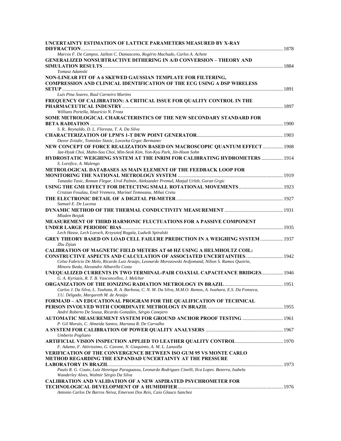| UNCERTAINTY ESTIMATION OF LATTICE PARAMETERS MEASURED BY X-RAY                                                                                        |  |
|-------------------------------------------------------------------------------------------------------------------------------------------------------|--|
| Marcos F. De Campos, Jailton C. Damasceno, Rogério Machado, Carlos A. Achete                                                                          |  |
| <b>GENERALIZED NONSUBTRACTIVE DITHERING IN A/D CONVERSION – THEORY AND</b>                                                                            |  |
| Tomasz Adamski                                                                                                                                        |  |
| NON-LINEAR FIT OF A 6 SKEWED GAUSSIAN TEMPLATE FOR FILTERING,<br><b>COMPRESSION AND CLINICAL IDENTIFICATION OF THE ECG USING A DSP WIRELESS</b>       |  |
|                                                                                                                                                       |  |
| Luís Pina Soares, Raul Carneiro Martins                                                                                                               |  |
| FREQUENCY OF CALIBRATION: A CRITICAL ISSUE FOR QUALITY CONTROL IN THE                                                                                 |  |
| Willians Portella, Maurício N. Frota                                                                                                                  |  |
| SOME METROLOGICAL CHARACTERISTICS OF THE NEW SECONDARY STANDARD FOR                                                                                   |  |
|                                                                                                                                                       |  |
| S. R Reynaldo, D. L. Floresta, T. A. Da Silva                                                                                                         |  |
|                                                                                                                                                       |  |
| Davor Zvizdic, Tomislav Stasic, Lovorka Grgec Bermanec                                                                                                |  |
| NEW CONCEPT OF FORCE REALIZATION BASED ON MACROSCOPIC QUANTUM EFFECT  1908<br>Jae-Hyuk Choi, Mahn-Soo Choi, Min-Seok Kim, Yon-Kyu Park, Jin-Hoon Sohn |  |
| HYDROSTATIC WEIGHING SYSTEM AT THE INRIM FOR CALIBRATING HYDROMETERS  1914                                                                            |  |
| S. Lorefice, A. Malengo                                                                                                                               |  |
| METROLOGICAL DATABASES AS MAIN ELEMENT OF THE FEEDBACK LOOP FOR                                                                                       |  |
|                                                                                                                                                       |  |
| Tanasko Tasic, Roman Flegar, Uroš Palmin, Aleksander Premuš, Matjaž Urleb, Goran Grgic                                                                |  |
|                                                                                                                                                       |  |
| Cristian Fosalau, Emil Vremera, Marinel Temneanu, Mihai Cretu                                                                                         |  |
|                                                                                                                                                       |  |
| Samuel E. De Lucena                                                                                                                                   |  |
| Mladen Bezjak                                                                                                                                         |  |
| <b>MEASUREMENT OF THIRD HARMONIC FLUCTUATIONS FOR A PASSIVE COMPONENT</b>                                                                             |  |
|                                                                                                                                                       |  |
| Lech Hasse, Lech Loroch, Krzysztof Rogala, Ludwik Spiralski                                                                                           |  |
| GREY THEORY BASED ON LOAD CELL FAILURE PREDICTION IN A WEIGHING SYSTEM  1937<br>Zhu Zijian                                                            |  |
| <b>CALIBRATION OF MAGNETIC FIELD METERS AT 60 HZ USING A HELMHOLTZ COIL:</b>                                                                          |  |
| <b>CONSTRUCTIVE ASPECTS AND CALCULATION OF ASSOCIATED UNCERTAINTIES  1942</b>                                                                         |  |
| Celso Fabricio De Melo, Ricardo Luiz Araújo, Leonardo Morozowski Ardjomand, Nilton S. Ramos Quoirin,                                                  |  |
| Minoru Ikeda, Alexandre Albarello Costa                                                                                                               |  |
| <b>UNEQUALIZED CURRENTS IN TWO TERMINAL-PAIR COAXIAL CAPACITANCE BRIDGES 1946</b>                                                                     |  |
| G. A. Kyriazis, R. T. B. Vasconcellos, J. Melcher                                                                                                     |  |
| Carlos J. Da Silva, L. Tauhata, R. A. Barbosa, C. N. M. Da Silva, M.M.O. Ramos, A. Iwahara, E.S. Da Fonseca,                                          |  |
| J.U. Delgado, Margareth M. de Araújo                                                                                                                  |  |
| <b>FORMA3D – AN EDUCATIONAL PROGRAM FOR THE QUALIFICATION OF TECHNICAL</b>                                                                            |  |
|                                                                                                                                                       |  |
| André Roberto De Sousa, Ricardo Gonzáles, Sérgio Conejero                                                                                             |  |
| AUTOMATIC MEASUREMENT SYSTEM FOR GROUND ANCHOR PROOF TESTING  1961<br>P. Gil Morais, C. Almeida Santos, Mariana R. De Carvalho                        |  |
|                                                                                                                                                       |  |
| Umberto Pogliano                                                                                                                                      |  |
|                                                                                                                                                       |  |
| F. Adamo, F. Attivissimo, G. Cavone, N. Giaquinto, A. M. L. Lanzolla                                                                                  |  |
| <b>VERIFICATION OF THE CONVERGENCE BETWEEN ISO GUM 95 VS MONTE CARLO</b>                                                                              |  |
| METHOD REGARDING THE EXPANDAD UNCERTAINTY AT THE PRESSURE                                                                                             |  |
|                                                                                                                                                       |  |
| Paulo R. G. Couto, Luiz Henrique Paraguassu, Leonardo Rodrigues Cinelli, Ilca Lopes. Bezerra, Isabela                                                 |  |
| Wanderley Alves, Walmir Sérgio Da Silva<br>CALIBRATION AND VALIDATION OF A NEW ASPIRATED PSYCHROMETER FOR                                             |  |
|                                                                                                                                                       |  |
| Antonio Carlos De Barros Neiva, Emerson Dos Reis, Caio Glauco Sanchez                                                                                 |  |
|                                                                                                                                                       |  |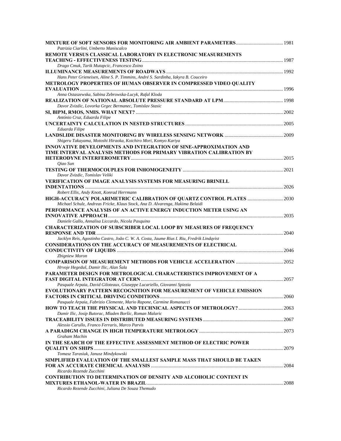| Patrizia Ciarlini, Umberto Maniscalco                                                     |  |
|-------------------------------------------------------------------------------------------|--|
| REMOTE VERSUS CLASSICAL LABORATORY IN ELECTRONIC MEASUREMENTS                             |  |
|                                                                                           |  |
| Drago Cmuk, Tarik Mutapcic, Francesco Zoino                                               |  |
|                                                                                           |  |
| Hans Peter Grieneisen, Aline S. P. Timmins, André S. Sardinha, Iakyra B. Couceiro         |  |
| METROLOGY PROPERTIES OF HUMAN OBSERVER IN COMPRESSED VIDEO OUALITY                        |  |
|                                                                                           |  |
|                                                                                           |  |
| Anna Ostaszewska, Sabina Zebrowska-Lucyk, Rafal Kloda                                     |  |
|                                                                                           |  |
| Davor Zvizdic, Lovorka Grgec Bermanec, Tomislav Stasic                                    |  |
|                                                                                           |  |
| António Cruz, Eduarda Filipe                                                              |  |
|                                                                                           |  |
| Eduarda Filipe                                                                            |  |
|                                                                                           |  |
| Shigeru Takayama, Motoshi Hiraoka, Koichiro Mori, Komyo Kariya                            |  |
| <b>INNOVATIVE DEVELOPMENTS AND INTEGRATION OF SINE-APPROXIMATION AND</b>                  |  |
| TIME INTERVAL ANALYSIS METHODS FOR PRIMARY VIBRATION CALIBRATION BY                       |  |
|                                                                                           |  |
| Qiao Sun                                                                                  |  |
|                                                                                           |  |
| Davor Zvizdic, Tomislav Veliki                                                            |  |
| <b>VERIFICATION OF IMAGE ANALYSIS SYSTEMS FOR MEASURING BRINELL</b>                       |  |
|                                                                                           |  |
| Robert Ellis, Andy Knott, Konrad Herrmann                                                 |  |
|                                                                                           |  |
| Michael Schulz, Andreas Fricke, Klaus Stock, Ana D. Alvarenga, Hakima Belaidi             |  |
| PERFORMANCE ANALYSIS OF AN ACTIVE ENERGY INDUCTION METER USING AN                         |  |
|                                                                                           |  |
| Daniele Gallo, Annalisa Liccardo, Nicola Pasquino                                         |  |
| <b>CHARACTERIZATION OF SUBSCRIBER LOCAL LOOP BY MEASURES OF FREQUENCY</b>                 |  |
|                                                                                           |  |
| Jacklyn Reis, Agostinho Castro, João C. W. A. Costa, Jaume Rius I. Riu, Fredrik Lindqvist |  |
| <b>CONSIDERATIONS ON THE ACCURACY OF MEASUREMENTS OF ELECTRICAL</b>                       |  |
|                                                                                           |  |
|                                                                                           |  |
| Zbigniew Moron                                                                            |  |
|                                                                                           |  |
| Hrvoje Hegeduš, Damir Ilic, Alan Šala                                                     |  |
| PARAMETER DESIGN FOR METROLOGICAL CHARACTERISTICS IMPROVEMENT OF A                        |  |
|                                                                                           |  |
| Pasquale Arpaia, David Giloteaux, Giuseppe Lucariello, Giovanni Spiezia                   |  |
| EVOLUTIONARY PATTERN RECOGNITION FOR MEASUREMENT OF VEHICLE EMISSION                      |  |
|                                                                                           |  |
| Pasquale Arpaia, Fabrizio Clemente, Mario Rapone, Carmine Romanucci                       |  |
|                                                                                           |  |
| Damir Ilic, Josip Butorac, Mladen Boršic, Roman Malaric                                   |  |
|                                                                                           |  |
| Alessio Carullo, Franco Ferraris, Marco Parvis                                            |  |
|                                                                                           |  |
| Graham Machin                                                                             |  |
| IN THE SEARCH OF THE EFFECTIVE ASSESSMENT METHOD OF ELECTRIC POWER                        |  |
|                                                                                           |  |
| Tomasz Tarasiuk, Janusz Mindykowski                                                       |  |
| SIMPLIFIED EVALUATION OF THE SMALLEST SAMPLE MASS THAT SHOULD BE TAKEN                    |  |
|                                                                                           |  |
| Ricardo Rezende Zucchini                                                                  |  |
| <b>CONTRIBUTION TO DETERMINATION OF DENSITY AND ALCOHOLIC CONTENT IN</b>                  |  |
|                                                                                           |  |
| Ricardo Rezende Zucchini, Juliana De Souza Themudo                                        |  |
|                                                                                           |  |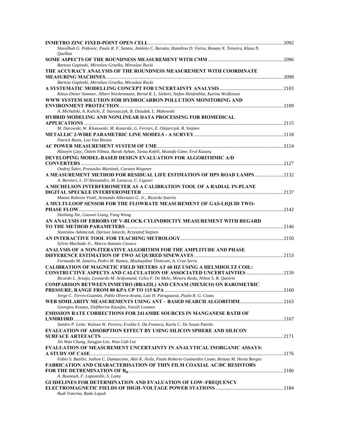| Slavolhub G. Petkovic, Paulo R. F. Santos, Antônio C. Baratto, Hamilton D. Vieira, Renato N. Teixeira, Klaus N.                                                               |  |
|-------------------------------------------------------------------------------------------------------------------------------------------------------------------------------|--|
| <i><u><b>Quelhas</b></u></i>                                                                                                                                                  |  |
| Bartosz Gapinski, Miroslaw Grzelka, Miroslaw Rucki                                                                                                                            |  |
| THE ACCURACY ANALYSIS OF THE ROUNDNESS MEASUREMENT WITH COORDINATE                                                                                                            |  |
|                                                                                                                                                                               |  |
| Bartosz Gapinski, Miroslaw Grzelka, Miroslaw Rucki                                                                                                                            |  |
| Klaus-Dieter Sommer, Albert Weckenmann, Bernd R. L. Siebert, Stefan Heidenblut, Karina Weißensee                                                                              |  |
| WWW SYSTEM SOLUTION FOR HYDROCARBON POLLUTION MONITORING AND                                                                                                                  |  |
|                                                                                                                                                                               |  |
| A. Michalski, A. Kalicki, Z. Staroszczyk, B. Dziadak, L. Makowski                                                                                                             |  |
| HYBRID MODELING AND NONLINEAR DATA PROCESSING FOR BIOMEDICAL                                                                                                                  |  |
| M. Darowski, W. Klonowski, M. Kozarski, G. Ferrari, E. Olejarczyk, R. Stepien                                                                                                 |  |
|                                                                                                                                                                               |  |
| Patrick Boets, Leo Van Biesen                                                                                                                                                 |  |
|                                                                                                                                                                               |  |
| Hüseyin Çayc, Özlem Yilmaz, Burak Ayhan, Tansu Kefeli, Mustafa Güne, Erol Kazanç<br>DEVELOPING MODEL-BASED DESIGN EVALUATION FOR ALGORITHMIC A/D                              |  |
|                                                                                                                                                                               |  |
| Ondrej Šubrt, Pravoslav Martinek, Carsten Wegener                                                                                                                             |  |
| A MEASUREMENT METHOD FOR RESIDUAL LIFE ESTIMATION OF HPS ROAD LAMPS  2132                                                                                                     |  |
| A. Bernieri, L. D'Alessandro, M. Laracca, C. Liguori                                                                                                                          |  |
| A MICHELSON INTERFEROMETER AS A CALIBRATION TOOL OF A RADIAL IN-PLANE                                                                                                         |  |
| Matías Roberto Viotti, Armando Albertazzi G. Jr., Ricardo Suterio                                                                                                             |  |
| A MULTI-LOOP SENSOR FOR THE FLOWRATE MEASUREMENT OF GAS-LIOUID TWO-                                                                                                           |  |
|                                                                                                                                                                               |  |
| Dailiang Xie, Guowei Liang, Fang Wang                                                                                                                                         |  |
| AN ANALYSIS OF ERRORS OF V-BLOCK CYLINDRICITY MEASUREMENT WITH REGARD                                                                                                         |  |
| Stanislaw Adamczak, Dariusz Janecki, Krzysztof Stepien                                                                                                                        |  |
|                                                                                                                                                                               |  |
| Sylvio Machado Jr., Marco Antonio Cavaco                                                                                                                                      |  |
| ANALYSIS OF A NON-ITERATIVE ALGORITHM FOR THE AMPLITUDE AND PHASE                                                                                                             |  |
| Fernando M. Janeiro, Pedro M. Ramos, Mouhaydine Tlemcani, A. Cruz Serra                                                                                                       |  |
| <b>CALIBRATION OF MAGNETIC FIELD METERS AT 60 HZ USING A HELMHOLTZ COIL:</b>                                                                                                  |  |
| <b>CONSTRUCTIVE ASPECTS AND CALCULATION OF ASSOCIATED UNCERTAINTIES  2159</b>                                                                                                 |  |
| Ricardo L. Araújo, Leonardo M. Ardjomand, Celso F. De Melo, Minoru Ikeda, Nilton S. R. Quoirin<br><b>COMPARISON BETWEEN INMETRO (BRAZIL) AND CENAM (MEXICO) ON BAROMETRIC</b> |  |
|                                                                                                                                                                               |  |
| Jorge C. Torres-Guzmán, Pablo Olvera-Arana, Luiz H. Paraguassú, Paulo R. G. Couto                                                                                             |  |
|                                                                                                                                                                               |  |
| Georgios Kouzas, Eleftherios Kayafas, Vassili Loumos                                                                                                                          |  |
| <b>EMISSION RATE CORRECTIONS FOR 241AMBE SOURCES IN MANGANESE BATH OF</b>                                                                                                     |  |
| Sandro P. Leite, Walsan W. Pereira, Evaldo S. Da Fonseca, Karla C. De Souza Patrão                                                                                            |  |
| <b>EVALUATION OF ADSORPTION EFFECT BY USING SILICON SPHERE AND SILICON</b>                                                                                                    |  |
|                                                                                                                                                                               |  |
| Jin Wan Chung, Sungjun Lee, Woo Gab Lee                                                                                                                                       |  |
| EVALUATION OF MEASUREMENT UNCERTAINTY IN ANALYTICAL INORGANIC ASSAYS:                                                                                                         |  |
| Fabio S. Bazilio, Jailton C. Damasceno, Akie K. Ávila, Paulo Roberto Guimarães Couto, Renata M. Horta Borges                                                                  |  |
| <b>FABRICATION AND CHARACTERISATION OF THIN FILM COAXIAL AC/DC RESISTORS</b>                                                                                                  |  |
|                                                                                                                                                                               |  |
| A. Bounouh, F. Lapostolle, S. Lamy<br><b>GUIDELINES FOR DETERMINATION AND EVALUATION OF LOW-FREQUENCY</b>                                                                     |  |
|                                                                                                                                                                               |  |
| Rudi Voncina, Rado Lapuh                                                                                                                                                      |  |
|                                                                                                                                                                               |  |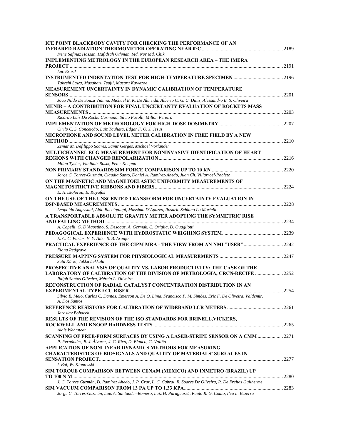| <b>ICE POINT BLACKBODY CAVITY FOR CHECKING THE PERFORMANCE OF AN</b>                                            |  |
|-----------------------------------------------------------------------------------------------------------------|--|
|                                                                                                                 |  |
| Irene Safinaz Hassan, Hafidzah Othman, Md. Nor Md. Chik                                                         |  |
| <b>IMPLEMENTING METROLOGY IN THE EUROPEAN RESEARCH AREA - THE IMERA</b>                                         |  |
|                                                                                                                 |  |
| Luc Erard                                                                                                       |  |
|                                                                                                                 |  |
| Takeshi Sawa, Masaharu Tsujii, Masaru Kawazoe                                                                   |  |
| <b>MEASUREMENT UNCERTAINTY IN DYNAMIC CALIBRATION OF TEMPERATURE</b>                                            |  |
| João Nildo De Souza Vianna, Michael E. K. De Almeida, Alberto C. G. C. Diniz, Alessandro B. S. Oliveira         |  |
| <b>MENIR – A CONTRIBUTION FOR FINAL UNCERTANTY EVALUATION OF ROCKETS MASS</b>                                   |  |
|                                                                                                                 |  |
| Ricardo Luís Da Rocha Carmona, Sílvio Fazolli, Milton Pereira                                                   |  |
|                                                                                                                 |  |
| Cirilo C. S. Conceição, Luiz Tauhata, Edgar F. O. J. Jesus                                                      |  |
| MICROPHONE AND SOUND LEVEL METER CALIBRATION IN FREE FIELD BY A NEW                                             |  |
|                                                                                                                 |  |
| Zemar M. Defilippo Soares, Samir Gerges, Michael Vorländer                                                      |  |
| MULTICHANNEL ECG MEASUREMENT FOR NONINVASIVE IDENTIFICATION OF HEART                                            |  |
|                                                                                                                 |  |
| Milan Tysler, Vladimir Rosik, Peter Kneppo                                                                      |  |
|                                                                                                                 |  |
| Jorge C. Torres-Guzmán, Claudia Santo, Daniel A. Ramírez-Ahedo, Juan Ch. Villarroel-Poblete                     |  |
| ON THE MAGNETIC AND MAGNETOELASTIC UNIFORMITY MEASUREMENTS OF                                                   |  |
|                                                                                                                 |  |
| E. Hristoforou, E. Kayafas                                                                                      |  |
| ON THE USE OF THE UNSCENTED TRANSFORM FOR UNCERTAINTY EVALUATION IN                                             |  |
| Leopoldo Angrisani, Aldo Baccigalupi, Massimo D'Apuzzo, Rosario Schiano Lo Moriello                             |  |
| A TRANSPORTABLE ABSOLUTE GRAVITY METER ADOPTING THE SYMMETRIC RISE                                              |  |
|                                                                                                                 |  |
| A. Capelli, G. D'Agostino, S. Desogus, A. Germak, C. Origlia, D. Quagliotti                                     |  |
|                                                                                                                 |  |
| E. C. C. Farias, V. Y. Aibe, S. B. Araujo                                                                       |  |
| PRACTICAL EXPERIENCE OF THE CIPM MRA - THE VIEW FROM AN NMI "USER" 2242                                         |  |
| Fiona Redgrave                                                                                                  |  |
|                                                                                                                 |  |
| Satu Kärki, Jukka Lekkala                                                                                       |  |
| PROSPECTIVE ANALYSIS OF QUALITY VS. LABOR PRODUCTIVITY: THE CASE OF THE                                         |  |
| LABORATORY OF CALIBRATION OF THE DIVISION OF METROLOGIA, CRCN-RECIFE  2252                                      |  |
| Ralph Santos Oliveira, Mércia L. Oliveira                                                                       |  |
| RECONSTRUCTION OF RADIAL CATALYST CONCENTRATION DISTRIBUTION IN AN                                              |  |
|                                                                                                                 |  |
| Silvio B. Melo, Carlos C. Dantas, Emerson A. De O. Lima, Francisco P. M. Simões, Eric F. De Oliveira, Valdemir. |  |
| A. Dos Santos                                                                                                   |  |
| Jaroslav Bohacek                                                                                                |  |
| RESULTS OF THE REVISION OF THE ISO STANDARDS FOR BRINELL, VICKERS,                                              |  |
|                                                                                                                 |  |
| Alois Wehrstedt                                                                                                 |  |
| <b>SCANNING OF FREE-FORM SURFACES BY USING A LASER-STRIPE SENSOR ON A CMM  2271</b>                             |  |
| P. Fernández, B. J. Álvarez, J. C. Rico, D. Blanco, G. Valiño                                                   |  |
| APPLICATION OF NONLINEAR DYNAMICS METHODS FOR MEASURING                                                         |  |
| <b>CHARACTERISTICS OF BIOSIGNALS AND OUALITY OF MATERIALS' SURFACES IN</b>                                      |  |
|                                                                                                                 |  |
| I. Bal, W. Klonowski                                                                                            |  |
| SIM TORQUE COMPARISON BETWEEN CENAM (MEXICO) AND INMETRO (BRAZIL) UP                                            |  |
|                                                                                                                 |  |
| J. C. Torres Guzmán, D. Ramírez Ahedo, J. P. Cruz, L. C. Cabral, R. Soares De Oliveira, R. De Freitas Guilherme |  |
|                                                                                                                 |  |
| Jorge C. Torres-Guzmán, Luis A. Santander-Romero, Luiz H. Paraguassú, Paulo R. G. Couto, Ilca L. Bezerra        |  |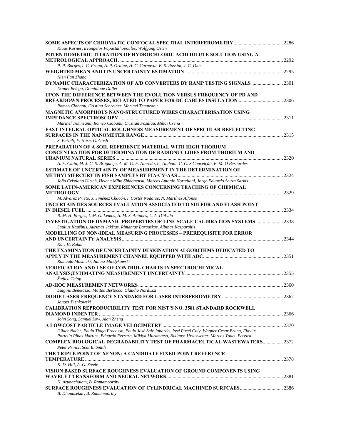| Klaus Körner, Evangelos Papastathopoulos, Wolfgang Osten                                                  |  |
|-----------------------------------------------------------------------------------------------------------|--|
| POTENTIOMETRIC TITRATION OF HYDROCHLORIC ACID DILUTE SOLUTION USING A                                     |  |
|                                                                                                           |  |
| P. P. Borges, I. C. Fraga, A. P. Ordine, H. C. Carnaval, B. S. Rossini, J. C. Dias                        |  |
|                                                                                                           |  |
| Nien Fan Zhang                                                                                            |  |
| DYNAMIC CHARACTERIZATION OF A/D CONVERTERS BY RAMP TESTING SIGNALS  2301                                  |  |
| Daniel Belega, Dominique Dallet                                                                           |  |
| UPON THE DIFFERENCE BETWEEN THE EVOLUTION VERSUS FREQUENCY OF PD AND                                      |  |
|                                                                                                           |  |
| Romeo Ciobanu, Cristina Schreiner, Marinel Temneanu                                                       |  |
| <b>MAGNETIC AMORPHOUS NANO-STRUCTURED WIRES CHARACTERISATION USING</b>                                    |  |
|                                                                                                           |  |
| Marinel Temneanu, Romeo Ciobanu, Cristian Fosalau, Mihai Crenu                                            |  |
| <b>FAST INTEGRAL OPTICAL ROUGHNESS MEASUREMENT OF SPECULAR REFLECTING</b>                                 |  |
|                                                                                                           |  |
| S. Patzelt, F. Horn, G. Goch                                                                              |  |
| PREPARATION OF A SOIL REFERENCE MATERIAL WITH HIGH THORIUM                                                |  |
| <b>CONCENTRATION FOR DETERMINATION OF RADIONUCLIDES FROM THORIUM AND</b>                                  |  |
|                                                                                                           |  |
| A. F. Clain, M. J. C. S. Bragança, A. M. G. F. Azeredo, L. Tauhata, C. C. S Conceição, E. M. O Bernardes  |  |
| <b>ESTIMATE OF UNCERTAINTY OF MEASUREMENT IN THE DETERMINATION OF</b>                                     |  |
|                                                                                                           |  |
| João Cristiano Ulrich, Helena Miho Shihomatsu, Marcos Antonio Hortellani, Jorge Eduardo Souza Sarkis      |  |
| SOME LATIN-AMERICAN EXPERIENCES CONCERNING TEACHING OF CHEMICAL                                           |  |
|                                                                                                           |  |
| M. Alvarez Prieto, J. Jiménez Chacón, I. Cortés Nodarse, N. Martínez Alfonso                              |  |
| UNCERTAINTIES SOURCES EVALUATION ASSOCIATED TO SULFUR AND FLASH POINT                                     |  |
|                                                                                                           |  |
| R. M. H. Borges, I. M. G. Lemos, A. M. S. Antunes, L. A. D'Avila                                          |  |
| <b>INVESTIGATION OF DYMANIC PROPERTIES OF LINE SCALE CALIBRATION SYSTEMS  2338</b>                        |  |
| Saulius Kaušinis, Aurimas Jakštas, Rimantas Barauskas, Albinas Kasparaitis                                |  |
| <b>MODELLING OF NON-IDEAL MEASURING PROCESSES - PREREQUISITE FOR ERROR</b>                                |  |
|                                                                                                           |  |
| Karl H. Ruhm                                                                                              |  |
| THE EXAMINATION OF UNCERTAINTY DESIGNATION ALGORITHMS DEDICATED TO                                        |  |
|                                                                                                           |  |
| Romuald Masnicki, Janusz Mindykowski                                                                      |  |
| <b>VERIFICATION AND USE OF CONTROL CHARTS IN SPECTROCHEMICAL</b>                                          |  |
|                                                                                                           |  |
| Štefica Celap                                                                                             |  |
|                                                                                                           |  |
| Luigino Benetazzo, Matteo Bertocco, Claudio Narduzzi                                                      |  |
|                                                                                                           |  |
| Janusz Pienkowski                                                                                         |  |
|                                                                                                           |  |
| <b>CALIBRATION REPRODUCIBILITY TEST FOR NIST'S NO. 3581 STANDARD ROCKWELL</b>                             |  |
|                                                                                                           |  |
| John Song, Samuel Low, Alan Zheng                                                                         |  |
|                                                                                                           |  |
| Gilder Nader, Paulo Tiago Fracasso, Paulo José Saiz Jabardo, José Pucci Caly, Wagner Cesar Bruna, Flavius |  |
| Portella Ribas Martins, Eduardo Ferrara, Mikiya Muramatsu, Niklauss Ursuswetter, Marcos Tadeu Pereira     |  |
| COMPLEX BIOLOGICAL DEGRADABILITY TEST OF PHARMACEUTICAL WASTEWATERS 2372                                  |  |
| Peter Princz, Scot E. Smith                                                                               |  |
| THE TRIPLE POINT OF XENON: A CANDIDATE FIXED-POINT REFERENCE                                              |  |
|                                                                                                           |  |
| K. D. Hill, A. G. Steele                                                                                  |  |
| VISION BASED SURFACE ROUGHNESS EVALUATION OF GROUND COMPONENTS USING                                      |  |
|                                                                                                           |  |
| N. Arunachalam, B. Ramamoorthy                                                                            |  |
|                                                                                                           |  |
| B. Dhanasekar, B. Ramamoorthy                                                                             |  |
|                                                                                                           |  |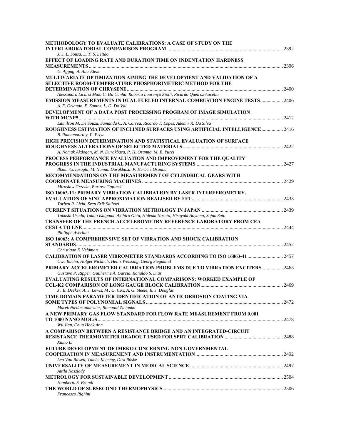| <b>METHODOLOGY TO EVALUATE CALIBRATIONS: A CASE OF STUDY ON THE</b>                                       |  |
|-----------------------------------------------------------------------------------------------------------|--|
|                                                                                                           |  |
| J. J. L. Sousa, L. T. S. Leitão                                                                           |  |
| <b>EFFECT OF LOADING RATE AND DURATION TIME ON INDENTATION HARDNESS</b>                                   |  |
| G. Aggag, A. Abu-Elezz                                                                                    |  |
| MULTIVARIATE OPTIMIZATION AIMING THE DEVELOPMENT AND VALIDATION OF A                                      |  |
| <b>SELECTIVE ROOM-TEMPERATURE PHOSPHORIMETRIC METHOD FOR THE</b>                                          |  |
|                                                                                                           |  |
| Alessandra Licursi Maia C. Da Cunha, Roberta Lourenço Ziolli, Ricardo Queiroz Aucélio                     |  |
| <b>EMISSION MEASUREMENTS IN DUAL FUELED INTERNAL COMBUSTION ENGINE TESTS 2406</b>                         |  |
| A. F. Orlando, E. Santos, L. G. Do Val                                                                    |  |
| DEVELOPMENT OF A DATA POST PROCESSING PROGRAM OF IMAGE SIMULATION                                         |  |
|                                                                                                           |  |
| Edmilson M. De Souza, Samanda C. A. Correa, Ricardo T. Lopes, Ademir X. Da Silva                          |  |
| <b>ROUGHNESS ESTIMATION OF INCLINED SURFACES USING ARTIFICIAL INTELLIGENCE 2416</b>                       |  |
| B. Ramamoorthy, P. Priya                                                                                  |  |
| HIGH PRECISION DETERMINATION AND STATISTICAL EVALUATION OF SURFACE                                        |  |
|                                                                                                           |  |
| A. Nomak Akdogan, M. N. Durakbasa, P. H. Osanna, M. E. Yurci                                              |  |
| PROCESS PERFORMANCE EVALUATION AND IMPROVEMENT FOR THE QUALITY                                            |  |
| Ilknur Cavusoglu, M. Numan Durakbasa, P. Herbert Osanna                                                   |  |
| RECOMMENDATIONS ON THE MEASUREMENT OF CYLINDRICAL GEARS WITH                                              |  |
|                                                                                                           |  |
| Miroslaw Grzelka, Bartosz Gapinski                                                                        |  |
| ISO 16063-11: PRIMARY VIBRATION CALIBRATION BY LASER INTERFEROMETRY.                                      |  |
|                                                                                                           |  |
| Torben R. Licht, Sven Erik Salboel                                                                        |  |
|                                                                                                           |  |
| Takashi Usuda, Tamio Ishigami, Akihiro Ohta, Hideaki Nozato, Hisayuki Aoyama, Sojun Sato                  |  |
| <b>TRANSFER OF THE FRENCH ACCELEROMETRY REFERENCE LABORATORY FROM CEA-</b>                                |  |
|                                                                                                           |  |
| Philippe Averlant                                                                                         |  |
| ISO 16063; A COMPREHENSIVE SET OF VIBRATION AND SHOCK CALIBRATION                                         |  |
|                                                                                                           |  |
| Christiaan S. Veldman<br><b>CALIBRATION OF LASER VIBROMETER STANDARDS ACCORDING TO ISO 16063-41  2457</b> |  |
| Uwe Buehn, Holger Nicklich, Heinz Weissing, Georg Siegmund                                                |  |
| PRIMARY ACCELEROMETER CALIBRATION PROBLEMS DUE TO VIBRATION EXCITERS 2463                                 |  |
| Gustavo P. Ripper, Guilherme A. Garcia, Ronaldo S. Dias                                                   |  |
| <b>EVALUATING RESULTS OF INTERNATIONAL COMPARISONS: WORKED EXAMPLE OF</b>                                 |  |
|                                                                                                           |  |
| J. E. Decker, A. J. Lewis, M. G. Cox, A. G. Steele, R. J. Douglas                                         |  |
| TIME DOMAIN PARAMETER IDENTIFICATION OF ANTICORROSION COATING VIA                                         |  |
|                                                                                                           |  |
| Marek Niedostatkiewicz, Romuald Zielonko                                                                  |  |
| A NEW PRIMARY GAS FLOW STANDARD FOR FLOW RATE MEASUREMENT FROM 0.001                                      |  |
|                                                                                                           |  |
| Wu Jian, Chua Hock Ann                                                                                    |  |
| A COMPARISON BETWEEN A RESISTANCE BRIDGE AND AN INTEGRATED-CIRCUIT                                        |  |
|                                                                                                           |  |
| Xumo Li<br><b>FUTURE DEVELOPMENT OF IMEKO CONCERNING NON-GOVERNMENTAL</b>                                 |  |
|                                                                                                           |  |
| Leo Van Biesen, Tamás Kemény, Dirk Röske                                                                  |  |
|                                                                                                           |  |
| Attila Naszlady                                                                                           |  |
|                                                                                                           |  |
| Humberto S. Brandi                                                                                        |  |
|                                                                                                           |  |
| Francesco Righini                                                                                         |  |
|                                                                                                           |  |